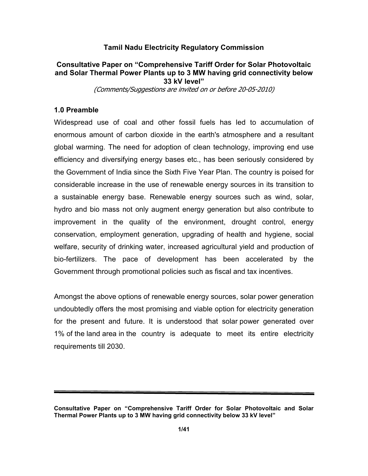## Tamil Nadu Electricity Regulatory Commission

## Consultative Paper on "Comprehensive Tariff Order for Solar Photovoltaic and Solar Thermal Power Plants up to 3 MW having grid connectivity below 33 kV level"

(Comments/Suggestions are invited on or before 20-05-2010)

## 1.0 Preamble

Widespread use of coal and other fossil fuels has led to accumulation of enormous amount of carbon dioxide in the earth's atmosphere and a resultant global warming. The need for adoption of clean technology, improving end use efficiency and diversifying energy bases etc., has been seriously considered by the Government of India since the Sixth Five Year Plan. The country is poised for considerable increase in the use of renewable energy sources in its transition to a sustainable energy base. Renewable energy sources such as wind, solar, hydro and bio mass not only augment energy generation but also contribute to improvement in the quality of the environment, drought control, energy conservation, employment generation, upgrading of health and hygiene, social welfare, security of drinking water, increased agricultural yield and production of bio-fertilizers. The pace of development has been accelerated by the Government through promotional policies such as fiscal and tax incentives.

Amongst the above options of renewable energy sources, solar power generation undoubtedly offers the most promising and viable option for electricity generation for the present and future. It is understood that solar power generated over 1% of the land area in the country is adequate to meet its entire electricity requirements till 2030.

Consultative Paper on "Comprehensive Tariff Order for Solar Photovoltaic and Solar Thermal Power Plants up to 3 MW having grid connectivity below 33 kV level"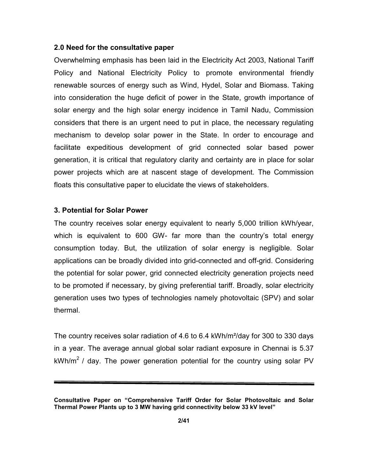### 2.0 Need for the consultative paper

Overwhelming emphasis has been laid in the Electricity Act 2003, National Tariff Policy and National Electricity Policy to promote environmental friendly renewable sources of energy such as Wind, Hydel, Solar and Biomass. Taking into consideration the huge deficit of power in the State, growth importance of solar energy and the high solar energy incidence in Tamil Nadu, Commission considers that there is an urgent need to put in place, the necessary regulating mechanism to develop solar power in the State. In order to encourage and facilitate expeditious development of grid connected solar based power generation, it is critical that regulatory clarity and certainty are in place for solar power projects which are at nascent stage of development. The Commission floats this consultative paper to elucidate the views of stakeholders.

### 3. Potential for Solar Power

The country receives solar energy equivalent to nearly 5,000 trillion kWh/year, which is equivalent to 600 GW- far more than the country's total energy consumption today. But, the utilization of solar energy is negligible. Solar applications can be broadly divided into grid-connected and off-grid. Considering the potential for solar power, grid connected electricity generation projects need to be promoted if necessary, by giving preferential tariff. Broadly, solar electricity generation uses two types of technologies namely photovoltaic (SPV) and solar thermal.

The country receives solar radiation of 4.6 to 6.4 kWh/m²/day for 300 to 330 days in a year. The average annual global solar radiant exposure in Chennai is 5.37  $kWh/m^2$  / day. The power generation potential for the country using solar PV

Consultative Paper on "Comprehensive Tariff Order for Solar Photovoltaic and Solar Thermal Power Plants up to 3 MW having grid connectivity below 33 kV level"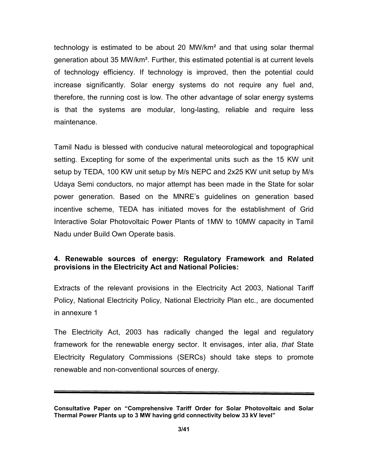technology is estimated to be about 20 MW/km² and that using solar thermal generation about 35 MW/km². Further, this estimated potential is at current levels of technology efficiency. If technology is improved, then the potential could increase significantly. Solar energy systems do not require any fuel and, therefore, the running cost is low. The other advantage of solar energy systems is that the systems are modular, long-lasting, reliable and require less maintenance.

Tamil Nadu is blessed with conducive natural meteorological and topographical setting. Excepting for some of the experimental units such as the 15 KW unit setup by TEDA, 100 KW unit setup by M/s NEPC and 2x25 KW unit setup by M/s Udaya Semi conductors, no major attempt has been made in the State for solar power generation. Based on the MNRE's guidelines on generation based incentive scheme, TEDA has initiated moves for the establishment of Grid Interactive Solar Photovoltaic Power Plants of 1MW to 10MW capacity in Tamil Nadu under Build Own Operate basis.

# 4. Renewable sources of energy: Regulatory Framework and Related provisions in the Electricity Act and National Policies:

Extracts of the relevant provisions in the Electricity Act 2003, National Tariff Policy, National Electricity Policy, National Electricity Plan etc., are documented in annexure 1

The Electricity Act, 2003 has radically changed the legal and regulatory framework for the renewable energy sector. It envisages, inter alia, that State Electricity Regulatory Commissions (SERCs) should take steps to promote renewable and non-conventional sources of energy.

Consultative Paper on "Comprehensive Tariff Order for Solar Photovoltaic and Solar Thermal Power Plants up to 3 MW having grid connectivity below 33 kV level"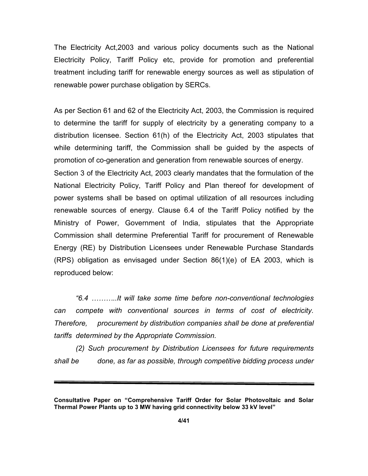The Electricity Act,2003 and various policy documents such as the National Electricity Policy, Tariff Policy etc, provide for promotion and preferential treatment including tariff for renewable energy sources as well as stipulation of renewable power purchase obligation by SERCs.

As per Section 61 and 62 of the Electricity Act, 2003, the Commission is required to determine the tariff for supply of electricity by a generating company to a distribution licensee. Section 61(h) of the Electricity Act, 2003 stipulates that while determining tariff, the Commission shall be guided by the aspects of promotion of co-generation and generation from renewable sources of energy. Section 3 of the Electricity Act, 2003 clearly mandates that the formulation of the National Electricity Policy, Tariff Policy and Plan thereof for development of power systems shall be based on optimal utilization of all resources including renewable sources of energy. Clause 6.4 of the Tariff Policy notified by the

Ministry of Power, Government of India, stipulates that the Appropriate Commission shall determine Preferential Tariff for procurement of Renewable Energy (RE) by Distribution Licensees under Renewable Purchase Standards (RPS) obligation as envisaged under Section 86(1)(e) of EA 2003, which is reproduced below:

 "6.4 ………..It will take some time before non-conventional technologies can compete with conventional sources in terms of cost of electricity. Therefore, procurement by distribution companies shall be done at preferential tariffs determined by the Appropriate Commission.

 (2) Such procurement by Distribution Licensees for future requirements shall be done, as far as possible, through competitive bidding process under

Consultative Paper on "Comprehensive Tariff Order for Solar Photovoltaic and Solar Thermal Power Plants up to 3 MW having grid connectivity below 33 kV level"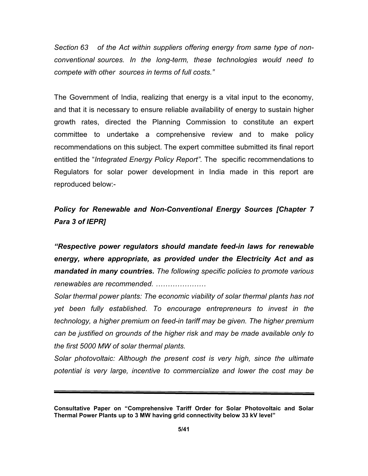Section 63 of the Act within suppliers offering energy from same type of nonconventional sources. In the long-term, these technologies would need to compete with other sources in terms of full costs."

The Government of India, realizing that energy is a vital input to the economy, and that it is necessary to ensure reliable availability of energy to sustain higher growth rates, directed the Planning Commission to constitute an expert committee to undertake a comprehensive review and to make policy recommendations on this subject. The expert committee submitted its final report entitled the "Integrated Energy Policy Report". The specific recommendations to Regulators for solar power development in India made in this report are reproduced below:-

Policy for Renewable and Non-Conventional Energy Sources [Chapter 7 Para 3 of IEPR]

"Respective power regulators should mandate feed-in laws for renewable energy, where appropriate, as provided under the Electricity Act and as mandated in many countries. The following specific policies to promote various renewables are recommended. …………………

Solar thermal power plants: The economic viability of solar thermal plants has not yet been fully established. To encourage entrepreneurs to invest in the technology, a higher premium on feed-in tariff may be given. The higher premium can be justified on grounds of the higher risk and may be made available only to the first 5000 MW of solar thermal plants.

Solar photovoltaic: Although the present cost is very high, since the ultimate potential is very large, incentive to commercialize and lower the cost may be

Consultative Paper on "Comprehensive Tariff Order for Solar Photovoltaic and Solar Thermal Power Plants up to 3 MW having grid connectivity below 33 kV level"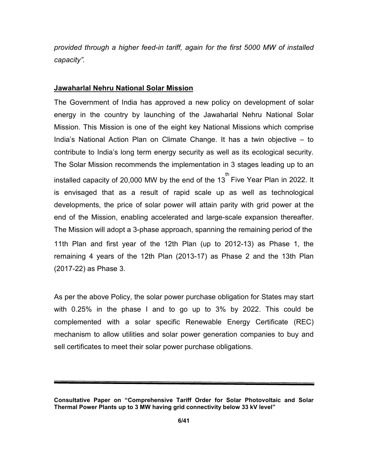provided through a higher feed-in tariff, again for the first 5000 MW of installed capacity".

### Jawaharlal Nehru National Solar Mission

The Government of India has approved a new policy on development of solar energy in the country by launching of the Jawaharlal Nehru National Solar Mission. This Mission is one of the eight key National Missions which comprise India's National Action Plan on Climate Change. It has a twin objective – to contribute to India's long term energy security as well as its ecological security. The Solar Mission recommends the implementation in 3 stages leading up to an installed capacity of 20,000 MW by the end of the 13  $^{\text{th}}$  Five Year Plan in 2022. It is envisaged that as a result of rapid scale up as well as technological developments, the price of solar power will attain parity with grid power at the end of the Mission, enabling accelerated and large-scale expansion thereafter. The Mission will adopt a 3-phase approach, spanning the remaining period of the 11th Plan and first year of the 12th Plan (up to 2012-13) as Phase 1, the remaining 4 years of the 12th Plan (2013-17) as Phase 2 and the 13th Plan (2017-22) as Phase 3.

As per the above Policy, the solar power purchase obligation for States may start with 0.25% in the phase I and to go up to 3% by 2022. This could be complemented with a solar specific Renewable Energy Certificate (REC) mechanism to allow utilities and solar power generation companies to buy and sell certificates to meet their solar power purchase obligations.

Consultative Paper on "Comprehensive Tariff Order for Solar Photovoltaic and Solar Thermal Power Plants up to 3 MW having grid connectivity below 33 kV level"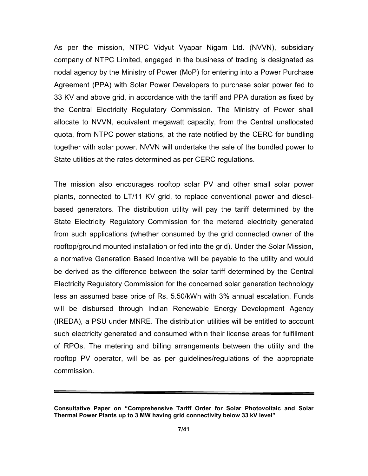As per the mission, NTPC Vidyut Vyapar Nigam Ltd. (NVVN), subsidiary company of NTPC Limited, engaged in the business of trading is designated as nodal agency by the Ministry of Power (MoP) for entering into a Power Purchase Agreement (PPA) with Solar Power Developers to purchase solar power fed to 33 KV and above grid, in accordance with the tariff and PPA duration as fixed by the Central Electricity Regulatory Commission. The Ministry of Power shall allocate to NVVN, equivalent megawatt capacity, from the Central unallocated quota, from NTPC power stations, at the rate notified by the CERC for bundling together with solar power. NVVN will undertake the sale of the bundled power to State utilities at the rates determined as per CERC regulations.

The mission also encourages rooftop solar PV and other small solar power plants, connected to LT/11 KV grid, to replace conventional power and dieselbased generators. The distribution utility will pay the tariff determined by the State Electricity Regulatory Commission for the metered electricity generated from such applications (whether consumed by the grid connected owner of the rooftop/ground mounted installation or fed into the grid). Under the Solar Mission, a normative Generation Based Incentive will be payable to the utility and would be derived as the difference between the solar tariff determined by the Central Electricity Regulatory Commission for the concerned solar generation technology less an assumed base price of Rs. 5.50/kWh with 3% annual escalation. Funds will be disbursed through Indian Renewable Energy Development Agency (IREDA), a PSU under MNRE. The distribution utilities will be entitled to account such electricity generated and consumed within their license areas for fulfillment of RPOs. The metering and billing arrangements between the utility and the rooftop PV operator, will be as per guidelines/regulations of the appropriate commission.

Consultative Paper on "Comprehensive Tariff Order for Solar Photovoltaic and Solar Thermal Power Plants up to 3 MW having grid connectivity below 33 kV level"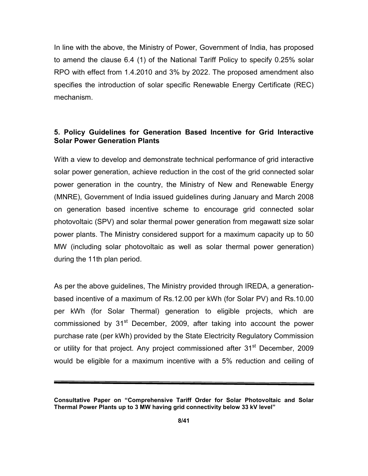In line with the above, the Ministry of Power, Government of India, has proposed to amend the clause 6.4 (1) of the National Tariff Policy to specify 0.25% solar RPO with effect from 1.4.2010 and 3% by 2022. The proposed amendment also specifies the introduction of solar specific Renewable Energy Certificate (REC) mechanism.

## 5. Policy Guidelines for Generation Based Incentive for Grid Interactive Solar Power Generation Plants

With a view to develop and demonstrate technical performance of grid interactive solar power generation, achieve reduction in the cost of the grid connected solar power generation in the country, the Ministry of New and Renewable Energy (MNRE), Government of India issued guidelines during January and March 2008 on generation based incentive scheme to encourage grid connected solar photovoltaic (SPV) and solar thermal power generation from megawatt size solar power plants. The Ministry considered support for a maximum capacity up to 50 MW (including solar photovoltaic as well as solar thermal power generation) during the 11th plan period.

As per the above guidelines, The Ministry provided through IREDA, a generationbased incentive of a maximum of Rs.12.00 per kWh (for Solar PV) and Rs.10.00 per kWh (for Solar Thermal) generation to eligible projects, which are commissioned by  $31<sup>st</sup>$  December, 2009, after taking into account the power purchase rate (per kWh) provided by the State Electricity Regulatory Commission or utility for that project. Any project commissioned after 31<sup>st</sup> December, 2009 would be eligible for a maximum incentive with a 5% reduction and ceiling of

Consultative Paper on "Comprehensive Tariff Order for Solar Photovoltaic and Solar Thermal Power Plants up to 3 MW having grid connectivity below 33 kV level"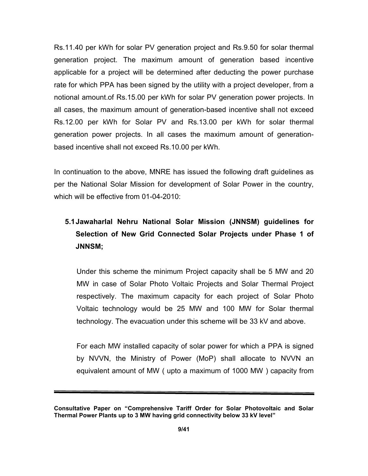Rs.11.40 per kWh for solar PV generation project and Rs.9.50 for solar thermal generation project. The maximum amount of generation based incentive applicable for a project will be determined after deducting the power purchase rate for which PPA has been signed by the utility with a project developer, from a notional amount.of Rs.15.00 per kWh for solar PV generation power projects. In all cases, the maximum amount of generation-based incentive shall not exceed Rs.12.00 per kWh for Solar PV and Rs.13.00 per kWh for solar thermal generation power projects. In all cases the maximum amount of generationbased incentive shall not exceed Rs.10.00 per kWh.

In continuation to the above, MNRE has issued the following draft guidelines as per the National Solar Mission for development of Solar Power in the country, which will be effective from 01-04-2010:

# 5.1 Jawaharlal Nehru National Solar Mission (JNNSM) guidelines for Selection of New Grid Connected Solar Projects under Phase 1 of JNNSM;

Under this scheme the minimum Project capacity shall be 5 MW and 20 MW in case of Solar Photo Voltaic Projects and Solar Thermal Project respectively. The maximum capacity for each project of Solar Photo Voltaic technology would be 25 MW and 100 MW for Solar thermal technology. The evacuation under this scheme will be 33 kV and above.

For each MW installed capacity of solar power for which a PPA is signed by NVVN, the Ministry of Power (MoP) shall allocate to NVVN an equivalent amount of MW ( upto a maximum of 1000 MW ) capacity from

Consultative Paper on "Comprehensive Tariff Order for Solar Photovoltaic and Solar Thermal Power Plants up to 3 MW having grid connectivity below 33 kV level"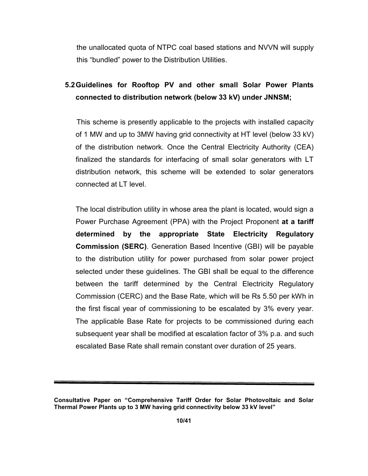the unallocated quota of NTPC coal based stations and NVVN will supply this "bundled" power to the Distribution Utilities.

# 5.2 Guidelines for Rooftop PV and other small Solar Power Plants connected to distribution network (below 33 kV) under JNNSM;

This scheme is presently applicable to the projects with installed capacity of 1 MW and up to 3MW having grid connectivity at HT level (below 33 kV) of the distribution network. Once the Central Electricity Authority (CEA) finalized the standards for interfacing of small solar generators with LT distribution network, this scheme will be extended to solar generators connected at LT level.

The local distribution utility in whose area the plant is located, would sign a Power Purchase Agreement (PPA) with the Project Proponent at a tariff determined by the appropriate State Electricity Regulatory Commission (SERC). Generation Based Incentive (GBI) will be payable to the distribution utility for power purchased from solar power project selected under these guidelines. The GBI shall be equal to the difference between the tariff determined by the Central Electricity Regulatory Commission (CERC) and the Base Rate, which will be Rs 5.50 per kWh in the first fiscal year of commissioning to be escalated by 3% every year. The applicable Base Rate for projects to be commissioned during each subsequent year shall be modified at escalation factor of 3% p.a. and such escalated Base Rate shall remain constant over duration of 25 years.

Consultative Paper on "Comprehensive Tariff Order for Solar Photovoltaic and Solar Thermal Power Plants up to 3 MW having grid connectivity below 33 kV level"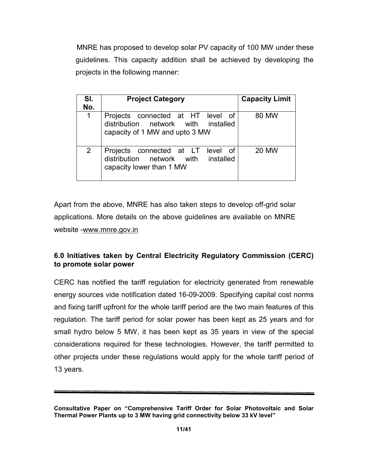MNRE has proposed to develop solar PV capacity of 100 MW under these guidelines. This capacity addition shall be achieved by developing the projects in the following manner:

| SI.<br>No.     | <b>Project Category</b>                                                                                    | <b>Capacity Limit</b> |
|----------------|------------------------------------------------------------------------------------------------------------|-----------------------|
| 1              | Projects connected at HT level of<br>distribution network with installed<br>capacity of 1 MW and upto 3 MW | 80 MW                 |
| $\overline{2}$ | Projects connected at LT<br>level of<br>distribution network with<br>installed<br>capacity lower than 1 MW | 20 MW                 |

Apart from the above, MNRE has also taken steps to develop off-grid solar applications. More details on the above guidelines are available on MNRE website -www.mnre.gov.in

# 6.0 Initiatives taken by Central Electricity Regulatory Commission (CERC) to promote solar power

CERC has notified the tariff regulation for electricity generated from renewable energy sources vide notification dated 16-09-2009. Specifying capital cost norms and fixing tariff upfront for the whole tariff period are the two main features of this regulation. The tariff period for solar power has been kept as 25 years and for small hydro below 5 MW, it has been kept as 35 years in view of the special considerations required for these technologies. However, the tariff permitted to other projects under these regulations would apply for the whole tariff period of 13 years.

Consultative Paper on "Comprehensive Tariff Order for Solar Photovoltaic and Solar Thermal Power Plants up to 3 MW having grid connectivity below 33 kV level"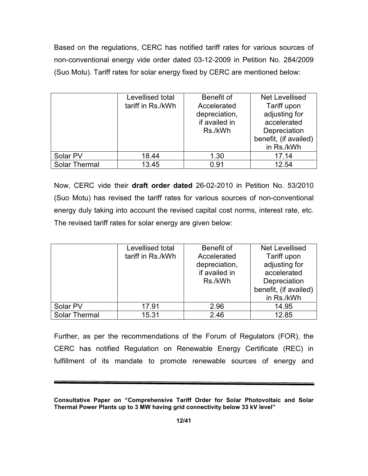Based on the regulations, CERC has notified tariff rates for various sources of non-conventional energy vide order dated 03-12-2009 in Petition No. 284/2009 (Suo Motu). Tariff rates for solar energy fixed by CERC are mentioned below:

|                      | Levellised total<br>tariff in Rs./kWh | Benefit of<br>Accelerated<br>depreciation,<br>if availed in<br>Rs./kWh | <b>Net Levellised</b><br>Tariff upon<br>adjusting for<br>accelerated<br>Depreciation<br>benefit, (if availed)<br>in Rs./kWh |
|----------------------|---------------------------------------|------------------------------------------------------------------------|-----------------------------------------------------------------------------------------------------------------------------|
| Solar PV             | 18.44                                 | 1.30                                                                   | 17.14                                                                                                                       |
| <b>Solar Thermal</b> | 13.45                                 | 0.91                                                                   | 12.54                                                                                                                       |

Now, CERC vide their draft order dated 26-02-2010 in Petition No. 53/2010 (Suo Motu) has revised the tariff rates for various sources of non-conventional energy duly taking into account the revised capital cost norms, interest rate, etc. The revised tariff rates for solar energy are given below:

|               | Levellised total<br>tariff in Rs./kWh | Benefit of<br>Accelerated<br>depreciation,<br>if availed in<br>Rs./kWh | Net Levellised<br>Tariff upon<br>adjusting for<br>accelerated<br>Depreciation<br>benefit, (if availed)<br>in Rs./kWh |
|---------------|---------------------------------------|------------------------------------------------------------------------|----------------------------------------------------------------------------------------------------------------------|
| Solar PV      | 17.91                                 | 2.96                                                                   | 14.95                                                                                                                |
| Solar Thermal | 15.31                                 | 2.46                                                                   | 12.85                                                                                                                |

Further, as per the recommendations of the Forum of Regulators (FOR), the CERC has notified Regulation on Renewable Energy Certificate (REC) in fulfillment of its mandate to promote renewable sources of energy and

Consultative Paper on "Comprehensive Tariff Order for Solar Photovoltaic and Solar Thermal Power Plants up to 3 MW having grid connectivity below 33 kV level"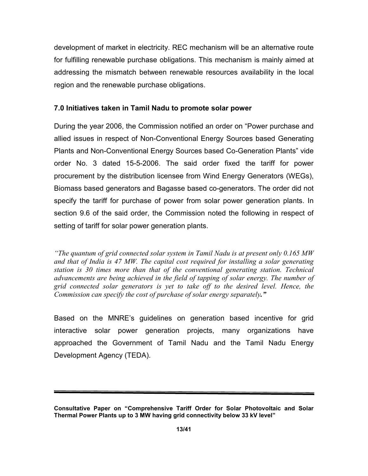development of market in electricity. REC mechanism will be an alternative route for fulfilling renewable purchase obligations. This mechanism is mainly aimed at addressing the mismatch between renewable resources availability in the local region and the renewable purchase obligations.

# 7.0 Initiatives taken in Tamil Nadu to promote solar power

During the year 2006, the Commission notified an order on "Power purchase and allied issues in respect of Non-Conventional Energy Sources based Generating Plants and Non-Conventional Energy Sources based Co-Generation Plants" vide order No. 3 dated 15-5-2006. The said order fixed the tariff for power procurement by the distribution licensee from Wind Energy Generators (WEGs), Biomass based generators and Bagasse based co-generators. The order did not specify the tariff for purchase of power from solar power generation plants. In section 9.6 of the said order, the Commission noted the following in respect of setting of tariff for solar power generation plants.

"The quantum of grid connected solar system in Tamil Nadu is at present only 0.165 MW and that of India is 47 MW. The capital cost required for installing a solar generating station is 30 times more than that of the conventional generating station. Technical advancements are being achieved in the field of tapping of solar energy. The number of grid connected solar generators is yet to take off to the desired level. Hence, the Commission can specify the cost of purchase of solar energy separately."

Based on the MNRE's guidelines on generation based incentive for grid interactive solar power generation projects, many organizations have approached the Government of Tamil Nadu and the Tamil Nadu Energy Development Agency (TEDA).

Consultative Paper on "Comprehensive Tariff Order for Solar Photovoltaic and Solar Thermal Power Plants up to 3 MW having grid connectivity below 33 kV level"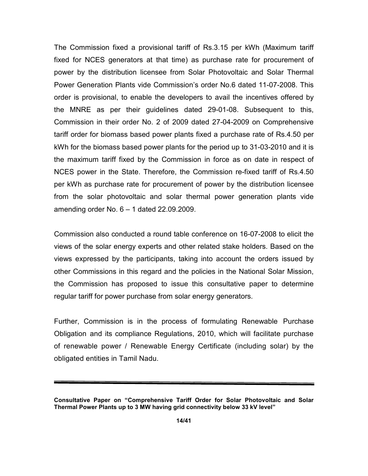The Commission fixed a provisional tariff of Rs.3.15 per kWh (Maximum tariff fixed for NCES generators at that time) as purchase rate for procurement of power by the distribution licensee from Solar Photovoltaic and Solar Thermal Power Generation Plants vide Commission's order No.6 dated 11-07-2008. This order is provisional, to enable the developers to avail the incentives offered by the MNRE as per their guidelines dated 29-01-08. Subsequent to this, Commission in their order No. 2 of 2009 dated 27-04-2009 on Comprehensive tariff order for biomass based power plants fixed a purchase rate of Rs.4.50 per kWh for the biomass based power plants for the period up to 31-03-2010 and it is the maximum tariff fixed by the Commission in force as on date in respect of NCES power in the State. Therefore, the Commission re-fixed tariff of Rs.4.50 per kWh as purchase rate for procurement of power by the distribution licensee from the solar photovoltaic and solar thermal power generation plants vide amending order No. 6 – 1 dated 22.09.2009.

Commission also conducted a round table conference on 16-07-2008 to elicit the views of the solar energy experts and other related stake holders. Based on the views expressed by the participants, taking into account the orders issued by other Commissions in this regard and the policies in the National Solar Mission, the Commission has proposed to issue this consultative paper to determine regular tariff for power purchase from solar energy generators.

Further, Commission is in the process of formulating Renewable Purchase Obligation and its compliance Regulations, 2010, which will facilitate purchase of renewable power / Renewable Energy Certificate (including solar) by the obligated entities in Tamil Nadu.

Consultative Paper on "Comprehensive Tariff Order for Solar Photovoltaic and Solar Thermal Power Plants up to 3 MW having grid connectivity below 33 kV level"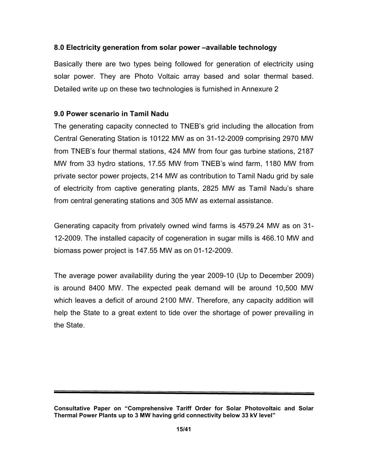# 8.0 Electricity generation from solar power –available technology

Basically there are two types being followed for generation of electricity using solar power. They are Photo Voltaic array based and solar thermal based. Detailed write up on these two technologies is furnished in Annexure 2

# 9.0 Power scenario in Tamil Nadu

The generating capacity connected to TNEB's grid including the allocation from Central Generating Station is 10122 MW as on 31-12-2009 comprising 2970 MW from TNEB's four thermal stations, 424 MW from four gas turbine stations, 2187 MW from 33 hydro stations, 17.55 MW from TNEB's wind farm, 1180 MW from private sector power projects, 214 MW as contribution to Tamil Nadu grid by sale of electricity from captive generating plants, 2825 MW as Tamil Nadu's share from central generating stations and 305 MW as external assistance.

Generating capacity from privately owned wind farms is 4579.24 MW as on 31- 12-2009. The installed capacity of cogeneration in sugar mills is 466.10 MW and biomass power project is 147.55 MW as on 01-12-2009.

The average power availability during the year 2009-10 (Up to December 2009) is around 8400 MW. The expected peak demand will be around 10,500 MW which leaves a deficit of around 2100 MW. Therefore, any capacity addition will help the State to a great extent to tide over the shortage of power prevailing in the State.

Consultative Paper on "Comprehensive Tariff Order for Solar Photovoltaic and Solar Thermal Power Plants up to 3 MW having grid connectivity below 33 kV level"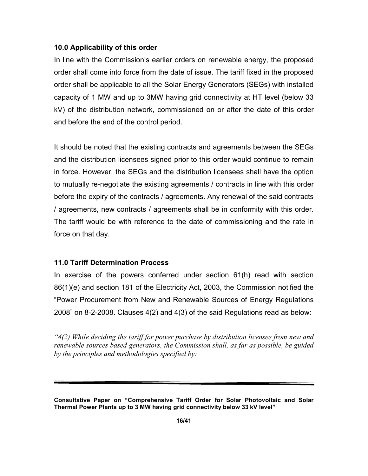## 10.0 Applicability of this order

In line with the Commission's earlier orders on renewable energy, the proposed order shall come into force from the date of issue. The tariff fixed in the proposed order shall be applicable to all the Solar Energy Generators (SEGs) with installed capacity of 1 MW and up to 3MW having grid connectivity at HT level (below 33 kV) of the distribution network, commissioned on or after the date of this order and before the end of the control period.

It should be noted that the existing contracts and agreements between the SEGs and the distribution licensees signed prior to this order would continue to remain in force. However, the SEGs and the distribution licensees shall have the option to mutually re-negotiate the existing agreements / contracts in line with this order before the expiry of the contracts / agreements. Any renewal of the said contracts / agreements, new contracts / agreements shall be in conformity with this order. The tariff would be with reference to the date of commissioning and the rate in force on that day.

## 11.0 Tariff Determination Process

In exercise of the powers conferred under section 61(h) read with section 86(1)(e) and section 181 of the Electricity Act, 2003, the Commission notified the "Power Procurement from New and Renewable Sources of Energy Regulations 2008" on 8-2-2008. Clauses 4(2) and 4(3) of the said Regulations read as below:

" $4(2)$  While deciding the tariff for power purchase by distribution licensee from new and renewable sources based generators, the Commission shall, as far as possible, be guided by the principles and methodologies specified by:

Consultative Paper on "Comprehensive Tariff Order for Solar Photovoltaic and Solar Thermal Power Plants up to 3 MW having grid connectivity below 33 kV level"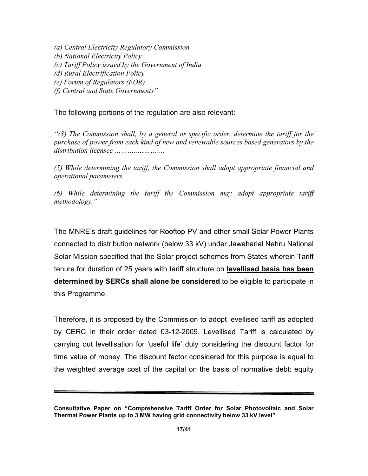(a) Central Electricity Regulatory Commission (b) National Electricity Policy (c) Tariff Policy issued by the Government of India (d) Rural Electrification Policy (e) Forum of Regulators (FOR) (f) Central and State Governments"

The following portions of the regulation are also relevant:

"(3) The Commission shall, by a general or specific order, determine the tariff for the purchase of power from each kind of new and renewable sources based generators by the distribution licensee ... ... ... ... ... ... ...

(5) While determining the tariff, the Commission shall adopt appropriate financial and operational parameters.

(6) While determining the tariff the Commission may adopt appropriate tariff methodology."

The MNRE's draft guidelines for Rooftop PV and other small Solar Power Plants connected to distribution network (below 33 kV) under Jawaharlal Nehru National Solar Mission specified that the Solar project schemes from States wherein Tariff tenure for duration of 25 years with tariff structure on **levellised basis has been** determined by SERCs shall alone be considered to be eligible to participate in this Programme.

Therefore, it is proposed by the Commission to adopt levellised tariff as adopted by CERC in their order dated 03-12-2009. Levellised Tariff is calculated by carrying out levellisation for 'useful life' duly considering the discount factor for time value of money. The discount factor considered for this purpose is equal to the weighted average cost of the capital on the basis of normative debt: equity

Consultative Paper on "Comprehensive Tariff Order for Solar Photovoltaic and Solar Thermal Power Plants up to 3 MW having grid connectivity below 33 kV level"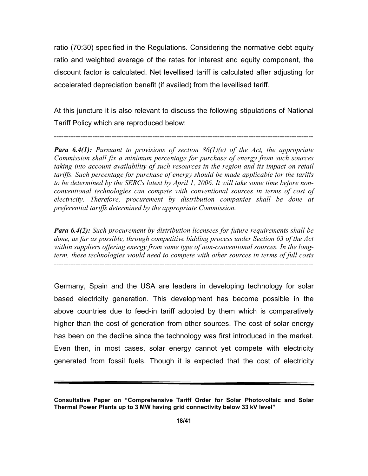ratio (70:30) specified in the Regulations. Considering the normative debt equity ratio and weighted average of the rates for interest and equity component, the discount factor is calculated. Net levellised tariff is calculated after adjusting for accelerated depreciation benefit (if availed) from the levellised tariff.

At this juncture it is also relevant to discuss the following stipulations of National Tariff Policy which are reproduced below:

------------------------------------------------------------------------------------------------------------

**Para 6.4(1):** Pursuant to provisions of section  $86(1)(e)$  of the Act, the appropriate Commission shall fix a minimum percentage for purchase of energy from such sources taking into account availability of such resources in the region and its impact on retail tariffs. Such percentage for purchase of energy should be made applicable for the tariffs to be determined by the SERCs latest by April 1, 2006. It will take some time before nonconventional technologies can compete with conventional sources in terms of cost of electricity. Therefore, procurement by distribution companies shall be done at preferential tariffs determined by the appropriate Commission.

**Para 6.4(2):** Such procurement by distribution licensees for future requirements shall be done, as far as possible, through competitive bidding process under Section 63 of the Act within suppliers offering energy from same type of non-conventional sources. In the longterm, these technologies would need to compete with other sources in terms of full costs ------------------------------------------------------------------------------------------------------------

Germany, Spain and the USA are leaders in developing technology for solar based electricity generation. This development has become possible in the above countries due to feed-in tariff adopted by them which is comparatively higher than the cost of generation from other sources. The cost of solar energy has been on the decline since the technology was first introduced in the market. Even then, in most cases, solar energy cannot yet compete with electricity generated from fossil fuels. Though it is expected that the cost of electricity

Consultative Paper on "Comprehensive Tariff Order for Solar Photovoltaic and Solar Thermal Power Plants up to 3 MW having grid connectivity below 33 kV level"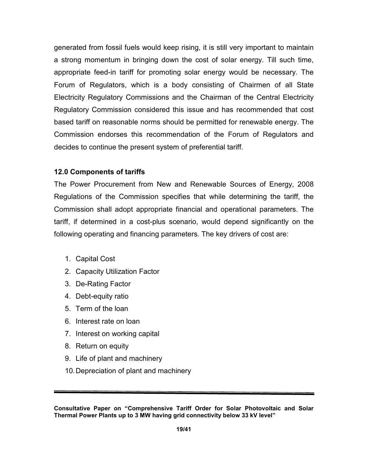generated from fossil fuels would keep rising, it is still very important to maintain a strong momentum in bringing down the cost of solar energy. Till such time, appropriate feed-in tariff for promoting solar energy would be necessary. The Forum of Regulators, which is a body consisting of Chairmen of all State Electricity Regulatory Commissions and the Chairman of the Central Electricity Regulatory Commission considered this issue and has recommended that cost based tariff on reasonable norms should be permitted for renewable energy. The Commission endorses this recommendation of the Forum of Regulators and decides to continue the present system of preferential tariff.

## 12.0 Components of tariffs

The Power Procurement from New and Renewable Sources of Energy, 2008 Regulations of the Commission specifies that while determining the tariff, the Commission shall adopt appropriate financial and operational parameters. The tariff, if determined in a cost-plus scenario, would depend significantly on the following operating and financing parameters. The key drivers of cost are:

- 1. Capital Cost
- 2. Capacity Utilization Factor
- 3. De-Rating Factor
- 4. Debt-equity ratio
- 5. Term of the loan
- 6. Interest rate on loan
- 7. Interest on working capital
- 8. Return on equity
- 9. Life of plant and machinery
- 10. Depreciation of plant and machinery

Consultative Paper on "Comprehensive Tariff Order for Solar Photovoltaic and Solar Thermal Power Plants up to 3 MW having grid connectivity below 33 kV level"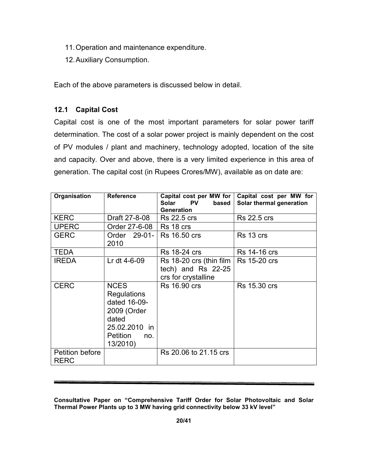- 11. Operation and maintenance expenditure.
- 12. Auxiliary Consumption.

Each of the above parameters is discussed below in detail.

# 12.1 Capital Cost

Capital cost is one of the most important parameters for solar power tariff determination. The cost of a solar power project is mainly dependent on the cost of PV modules / plant and machinery, technology adopted, location of the site and capacity. Over and above, there is a very limited experience in this area of generation. The capital cost (in Rupees Crores/MW), available as on date are:

| Organisation                   | <b>Reference</b>                                                                                                          | Capital cost per MW for<br>Solar<br><b>PV</b><br>based<br><b>Generation</b> | Capital cost per MW for<br>Solar thermal generation |
|--------------------------------|---------------------------------------------------------------------------------------------------------------------------|-----------------------------------------------------------------------------|-----------------------------------------------------|
| <b>KERC</b>                    | Draft 27-8-08                                                                                                             | <b>Rs 22.5 crs</b>                                                          | <b>Rs 22.5 crs</b>                                  |
| <b>UPERC</b>                   | Order 27-6-08                                                                                                             | Rs 18 crs                                                                   |                                                     |
| <b>GERC</b>                    | Order 29-01-1<br>2010                                                                                                     | <b>Rs 16.50 crs</b>                                                         | Rs 13 crs                                           |
| <b>TEDA</b>                    |                                                                                                                           | <b>Rs</b> 18-24 crs                                                         | <b>Rs 14-16 crs</b>                                 |
| <b>IREDA</b>                   | Lr dt 4-6-09                                                                                                              | Rs 18-20 crs (thin film<br>tech) and $Rs$ 22-25<br>crs for crystalline      | <b>Rs 15-20 crs</b>                                 |
| <b>CERC</b>                    | <b>NCES</b><br><b>Regulations</b><br>dated 16-09-<br>2009 (Order<br>dated<br>25.02.2010 in<br>Petition<br>no.<br>13/2010) | <b>Rs 16.90 crs</b>                                                         | <b>Rs</b> 15.30 crs                                 |
| Petition before<br><b>RERC</b> |                                                                                                                           | Rs 20.06 to 21.15 crs                                                       |                                                     |

Consultative Paper on "Comprehensive Tariff Order for Solar Photovoltaic and Solar Thermal Power Plants up to 3 MW having grid connectivity below 33 kV level"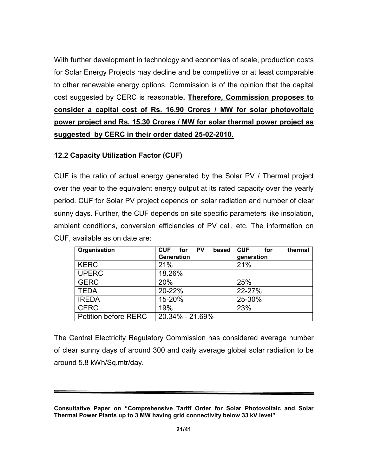With further development in technology and economies of scale, production costs for Solar Energy Projects may decline and be competitive or at least comparable to other renewable energy options. Commission is of the opinion that the capital cost suggested by CERC is reasonable. Therefore, Commission proposes to consider a capital cost of Rs. 16.90 Crores / MW for solar photovoltaic power project and Rs. 15.30 Crores / MW for solar thermal power project as suggested by CERC in their order dated 25-02-2010.

# 12.2 Capacity Utilization Factor (CUF)

CUF is the ratio of actual energy generated by the Solar PV / Thermal project over the year to the equivalent energy output at its rated capacity over the yearly period. CUF for Solar PV project depends on solar radiation and number of clear sunny days. Further, the CUF depends on site specific parameters like insolation, ambient conditions, conversion efficiencies of PV cell, etc. The information on CUF, available as on date are:

| Organisation                | <b>CUF</b><br>for PV<br>based<br><b>Generation</b> | <b>CUF</b><br>thermal<br>for<br>generation |
|-----------------------------|----------------------------------------------------|--------------------------------------------|
| <b>KERC</b>                 | 21%                                                | 21%                                        |
| <b>UPERC</b>                | 18.26%                                             |                                            |
| <b>GERC</b>                 | 20%                                                | 25%                                        |
| <b>TEDA</b>                 | 20-22%                                             | 22-27%                                     |
|                             | 15-20%                                             |                                            |
| <b>IREDA</b>                |                                                    | 25-30%                                     |
| <b>CERC</b>                 | 19%                                                | 23%                                        |
| <b>Petition before RERC</b> | 20.34% - 21.69%                                    |                                            |

The Central Electricity Regulatory Commission has considered average number of clear sunny days of around 300 and daily average global solar radiation to be around 5.8 kWh/Sq.mtr/day.

Consultative Paper on "Comprehensive Tariff Order for Solar Photovoltaic and Solar Thermal Power Plants up to 3 MW having grid connectivity below 33 kV level"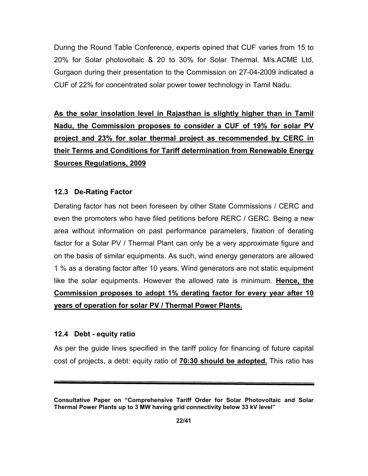During the Round Table Conference, experts opined that CUF varies from 15 to 20% for Solar photovoltaic & 20 to 30% for Solar Thermal. M/s.ACME Ltd, Gurgaon during their presentation to the Commission on 27-04-2009 indicated a CUF of 22% for concentrated solar power tower technology in Tamil Nadu.

As the solar insolation level in Rajasthan is slightly higher than in Tamil Nadu, the Commission proposes to consider a CUF of 19% for solar PV project and 23% for solar thermal project as recommended by CERC in their Terms and Conditions for Tariff determination from Renewable Energy Sources Regulations, 2009

## 12.3 De-Rating Factor

Derating factor has not been foreseen by other State Commissions / CERC and even the promoters who have filed petitions before RERC / GERC. Being a new area without information on past performance parameters, fixation of derating factor for a Solar PV / Thermal Plant can only be a very approximate figure and on the basis of similar equipments. As such, wind energy generators are allowed 1 % as a derating factor after 10 years. Wind generators are not static equipment like the solar equipments. However the allowed rate is minimum. Hence, the Commission proposes to adopt 1% derating factor for every year after 10 years of operation for solar PV / Thermal Power Plants.

### 12.4 Debt - equity ratio

As per the guide lines specified in the tariff policy for financing of future capital cost of projects, a debt: equity ratio of 70:30 should be adopted. This ratio has

Consultative Paper on "Comprehensive Tariff Order for Solar Photovoltaic and Solar Thermal Power Plants up to 3 MW having grid connectivity below 33 kV level"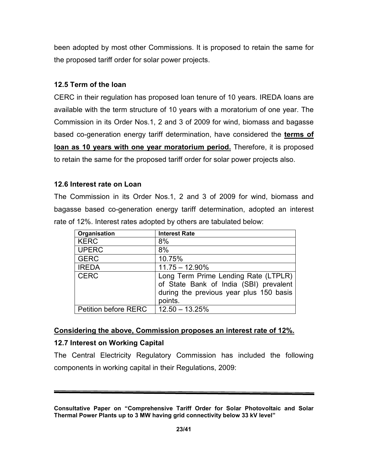been adopted by most other Commissions. It is proposed to retain the same for the proposed tariff order for solar power projects.

# 12.5 Term of the loan

CERC in their regulation has proposed loan tenure of 10 years. IREDA loans are available with the term structure of 10 years with a moratorium of one year. The Commission in its Order Nos.1, 2 and 3 of 2009 for wind, biomass and bagasse based co-generation energy tariff determination, have considered the **terms of** loan as 10 years with one year moratorium period. Therefore, it is proposed to retain the same for the proposed tariff order for solar power projects also.

## 12.6 Interest rate on Loan

The Commission in its Order Nos.1, 2 and 3 of 2009 for wind, biomass and bagasse based co-generation energy tariff determination, adopted an interest rate of 12%. Interest rates adopted by others are tabulated below:

| Organisation                | <b>Interest Rate</b>                                                                                                                 |
|-----------------------------|--------------------------------------------------------------------------------------------------------------------------------------|
| <b>KERC</b>                 | 8%                                                                                                                                   |
| <b>UPERC</b>                | 8%                                                                                                                                   |
| <b>GERC</b>                 | 10.75%                                                                                                                               |
| <b>IREDA</b>                | $11.75 - 12.90\%$                                                                                                                    |
| <b>CERC</b>                 | Long Term Prime Lending Rate (LTPLR)<br>of State Bank of India (SBI) prevalent<br>during the previous year plus 150 basis<br>points. |
| <b>Petition before RERC</b> | $12.50 - 13.25%$                                                                                                                     |

## Considering the above, Commission proposes an interest rate of 12%.

## 12.7 Interest on Working Capital

The Central Electricity Regulatory Commission has included the following components in working capital in their Regulations, 2009:

Consultative Paper on "Comprehensive Tariff Order for Solar Photovoltaic and Solar Thermal Power Plants up to 3 MW having grid connectivity below 33 kV level"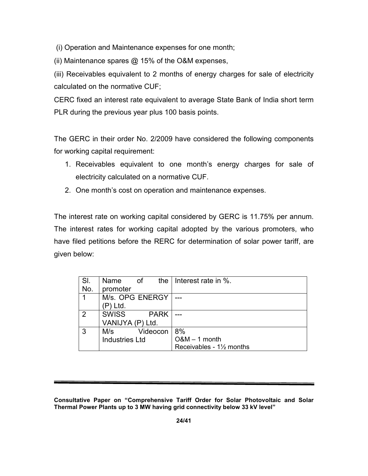(i) Operation and Maintenance expenses for one month;

(ii) Maintenance spares  $@$  15% of the O&M expenses,

(iii) Receivables equivalent to 2 months of energy charges for sale of electricity calculated on the normative CUF;

CERC fixed an interest rate equivalent to average State Bank of India short term PLR during the previous year plus 100 basis points.

The GERC in their order No. 2/2009 have considered the following components for working capital requirement:

- 1. Receivables equivalent to one month's energy charges for sale of electricity calculated on a normative CUF.
- 2. One month's cost on operation and maintenance expenses.

The interest rate on working capital considered by GERC is 11.75% per annum. The interest rates for working capital adopted by the various promoters, who have filed petitions before the RERC for determination of solar power tariff, are given below:

| SI.           | the $\mathsf I$<br>Name<br>of | Interest rate in %.     |
|---------------|-------------------------------|-------------------------|
| No.           | promoter                      |                         |
| 1             | M/s. OPG ENERGY               |                         |
|               | ) Ltd.                        |                         |
| $\mathcal{P}$ | <b>SWISS</b><br><b>PARK</b>   |                         |
|               | VANIJYA (P) Ltd.              |                         |
| 3             | Videocon<br>M/s               | 8%                      |
|               | <b>Industries Ltd</b>         | $O&M-1$ month           |
|               |                               | Receivables - 1½ months |

Consultative Paper on "Comprehensive Tariff Order for Solar Photovoltaic and Solar Thermal Power Plants up to 3 MW having grid connectivity below 33 kV level"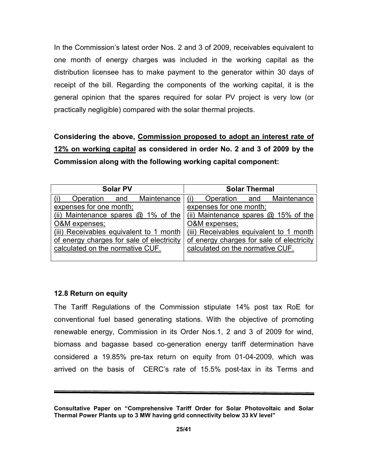In the Commission's latest order Nos. 2 and 3 of 2009, receivables equivalent to one month of energy charges was included in the working capital as the distribution licensee has to make payment to the generator within 30 days of receipt of the bill. Regarding the components of the working capital, it is the general opinion that the spares required for solar PV project is very low (or practically negligible) compared with the solar thermal projects.

Considering the above, Commission proposed to adopt an interest rate of 12% on working capital as considered in order No. 2 and 3 of 2009 by the Commission along with the following working capital component:

| <b>Solar PV</b>                           | <b>Solar Thermal</b>                      |
|-------------------------------------------|-------------------------------------------|
| Maintenance<br>Operation<br>and           | Operation and Maintenance                 |
| expenses for one month;                   | expenses for one month;                   |
| (ii) Maintenance spares $@$ 1% of the     | (ii) Maintenance spares $@$ 15% of the    |
| O&M expenses;                             | O&M expenses;                             |
| (iii) Receivables equivalent to 1 month   | (iii) Receivables equivalent to 1 month   |
| of energy charges for sale of electricity | of energy charges for sale of electricity |
| calculated on the normative CUF.          | calculated on the normative CUF.          |
|                                           |                                           |

### 12.8 Return on equity

The Tariff Regulations of the Commission stipulate 14% post tax RoE for conventional fuel based generating stations. With the objective of promoting renewable energy, Commission in its Order Nos.1, 2 and 3 of 2009 for wind, biomass and bagasse based co-generation energy tariff determination have considered a 19.85% pre-tax return on equity from 01-04-2009, which was arrived on the basis of CERC's rate of 15.5% post-tax in its Terms and

Consultative Paper on "Comprehensive Tariff Order for Solar Photovoltaic and Solar Thermal Power Plants up to 3 MW having grid connectivity below 33 kV level"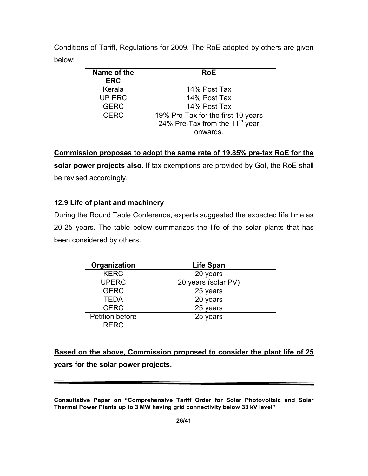Conditions of Tariff, Regulations for 2009. The RoE adopted by others are given below:

| Name of the<br><b>ERC</b> | <b>RoE</b>                                                                                   |
|---------------------------|----------------------------------------------------------------------------------------------|
| Kerala                    | 14% Post Tax                                                                                 |
| <b>UP ERC</b>             | 14% Post Tax                                                                                 |
| <b>GERC</b>               | 14% Post Tax                                                                                 |
| <b>CERC</b>               | 19% Pre-Tax for the first 10 years<br>24% Pre-Tax from the 11 <sup>th</sup> year<br>onwards. |

Commission proposes to adopt the same rate of 19.85% pre-tax RoE for the solar power projects also. If tax exemptions are provided by GoI, the RoE shall be revised accordingly.

# 12.9 Life of plant and machinery

During the Round Table Conference, experts suggested the expected life time as 20-25 years. The table below summarizes the life of the solar plants that has been considered by others.

| Organization                   | <b>Life Span</b>    |
|--------------------------------|---------------------|
| <b>KERC</b>                    | 20 years            |
| <b>UPERC</b>                   | 20 years (solar PV) |
| <b>GERC</b>                    | 25 years            |
| <b>TEDA</b>                    | 20 years            |
| <b>CERC</b>                    | 25 years            |
| Petition before<br><b>RERC</b> | 25 years            |

Based on the above, Commission proposed to consider the plant life of 25 years for the solar power projects.

Consultative Paper on "Comprehensive Tariff Order for Solar Photovoltaic and Solar Thermal Power Plants up to 3 MW having grid connectivity below 33 kV level"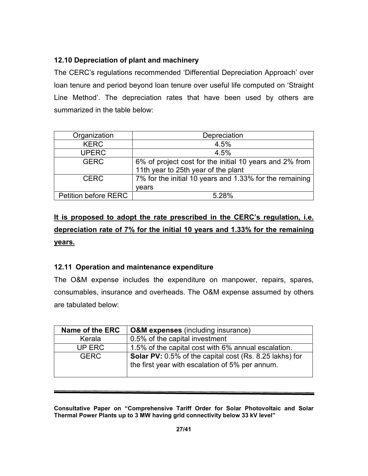# 12.10 Depreciation of plant and machinery

The CERC's regulations recommended 'Differential Depreciation Approach' over loan tenure and period beyond loan tenure over useful life computed on 'Straight Line Method'. The depreciation rates that have been used by others are summarized in the table below:

| Organization                | Depreciation                                            |
|-----------------------------|---------------------------------------------------------|
| <b>KERC</b>                 | 4.5%                                                    |
| <b>UPERC</b>                | 4.5%                                                    |
| <b>GERC</b>                 | 6% of project cost for the initial 10 years and 2% from |
|                             | 11th year to 25th year of the plant                     |
| <b>CERC</b>                 | 7% for the initial 10 years and 1.33% for the remaining |
|                             | vears                                                   |
| <b>Petition before RERC</b> | 5 28%                                                   |

# It is proposed to adopt the rate prescribed in the CERC's regulation, i.e. depreciation rate of 7% for the initial 10 years and 1.33% for the remaining years.

# 12.11 Operation and maintenance expenditure

The O&M expense includes the expenditure on manpower, repairs, spares, consumables, insurance and overheads. The O&M expense assumed by others are tabulated below:

| Name of the ERC | <b>O&amp;M</b> expenses (including insurance)                                                                     |
|-----------------|-------------------------------------------------------------------------------------------------------------------|
| Kerala          | 0.5% of the capital investment                                                                                    |
| UP ERC          | 1.5% of the capital cost with 6% annual escalation.                                                               |
| <b>GERC</b>     | <b>Solar PV:</b> 0.5% of the capital cost (Rs. 8.25 lakhs) for<br>the first year with escalation of 5% per annum. |

Consultative Paper on "Comprehensive Tariff Order for Solar Photovoltaic and Solar Thermal Power Plants up to 3 MW having grid connectivity below 33 kV level"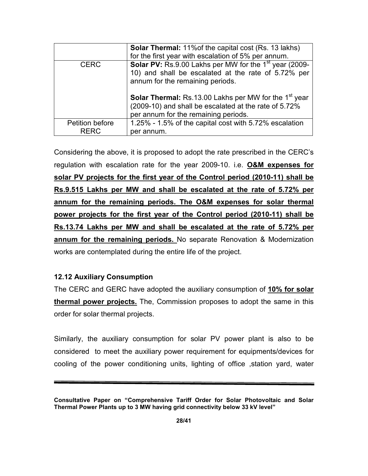|                 | <b>Solar Thermal:</b> 11% of the capital cost (Rs. 13 lakhs)<br>for the first year with escalation of 5% per annum.                                                       |
|-----------------|---------------------------------------------------------------------------------------------------------------------------------------------------------------------------|
| <b>CERC</b>     | <b>Solar PV:</b> Rs.9.00 Lakhs per MW for the 1 <sup>st</sup> year (2009-<br>10) and shall be escalated at the rate of 5.72% per<br>annum for the remaining periods.      |
|                 | <b>Solar Thermal:</b> Rs.13.00 Lakhs per MW for the 1 <sup>st</sup> year<br>(2009-10) and shall be escalated at the rate of 5.72%<br>per annum for the remaining periods. |
| Petition before | 1.25% - 1.5% of the capital cost with 5.72% escalation                                                                                                                    |
| <b>RFRC</b>     | per annum.                                                                                                                                                                |

Considering the above, it is proposed to adopt the rate prescribed in the CERC's regulation with escalation rate for the year 2009-10. i.e. O&M expenses for solar PV projects for the first year of the Control period (2010-11) shall be Rs.9.515 Lakhs per MW and shall be escalated at the rate of 5.72% per annum for the remaining periods. The O&M expenses for solar thermal power projects for the first year of the Control period (2010-11) shall be Rs.13.74 Lakhs per MW and shall be escalated at the rate of 5.72% per annum for the remaining periods. No separate Renovation & Modernization works are contemplated during the entire life of the project.

## 12.12 Auxiliary Consumption

The CERC and GERC have adopted the auxiliary consumption of 10% for solar thermal power projects. The, Commission proposes to adopt the same in this order for solar thermal projects.

Similarly, the auxiliary consumption for solar PV power plant is also to be considered to meet the auxiliary power requirement for equipments/devices for cooling of the power conditioning units, lighting of office ,station yard, water

Consultative Paper on "Comprehensive Tariff Order for Solar Photovoltaic and Solar Thermal Power Plants up to 3 MW having grid connectivity below 33 kV level"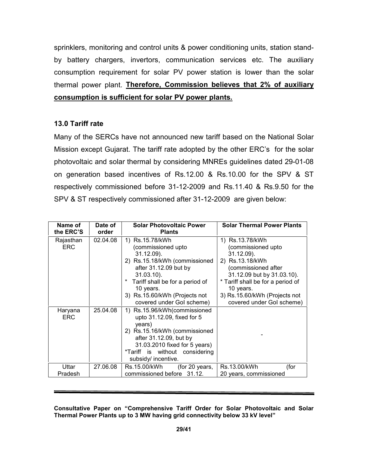sprinklers, monitoring and control units & power conditioning units, station standby battery chargers, invertors, communication services etc. The auxiliary consumption requirement for solar PV power station is lower than the solar thermal power plant. Therefore, Commission believes that 2% of auxiliary consumption is sufficient for solar PV power plants.

## 13.0 Tariff rate

Many of the SERCs have not announced new tariff based on the National Solar Mission except Gujarat. The tariff rate adopted by the other ERC's for the solar photovoltaic and solar thermal by considering MNREs guidelines dated 29-01-08 on generation based incentives of Rs.12.00 & Rs.10.00 for the SPV & ST respectively commissioned before 31-12-2009 and Rs.11.40 & Rs.9.50 for the SPV & ST respectively commissioned after 31-12-2009 are given below:

| Name of    | Date of  | <b>Solar Photovoltaic Power</b> | <b>Solar Thermal Power Plants</b> |
|------------|----------|---------------------------------|-----------------------------------|
| the ERC'S  | order    | <b>Plants</b>                   |                                   |
| Rajasthan  | 02.04.08 | 1) Rs.15.78/kWh                 | 1) Rs.13.78/kWh                   |
| <b>ERC</b> |          | (commissioned upto              | (commissioned upto                |
|            |          | 31.12.09).                      | $31.12.09$ ).                     |
|            |          | 2) Rs.15.18/kWh (commissioned   | 2) Rs.13.18/kWh                   |
|            |          | after 31.12.09 but by           | (commissioned after               |
|            |          | $31.03.10$ ).                   | 31.12.09 but by 31.03.10).        |
|            |          | Tariff shall be for a period of | * Tariff shall be for a period of |
|            |          | 10 years.                       | 10 years.                         |
|            |          | 3) Rs.15.60/kWh (Projects not   | 3) Rs.15.60/kWh (Projects not     |
|            |          | covered under Gol scheme)       | covered under Gol scheme)         |
| Haryana    | 25.04.08 | Rs.15.96/kWh(commissioned<br>1) |                                   |
| <b>ERC</b> |          | upto 31.12.09, fixed for 5      |                                   |
|            |          | years)                          |                                   |
|            |          | 2) Rs.15.16/kWh (commissioned   |                                   |
|            |          | after 31.12.09, but by          |                                   |
|            |          | 31.03.2010 fixed for 5 years)   |                                   |
|            |          | *Tariff is without considering  |                                   |
|            |          | subsidy/ incentive.             |                                   |
| Uttar      | 27.06.08 | Rs.15.00/kWh<br>(for 20 years,  | Rs.13.00/kWh<br>(for              |
| Pradesh    |          | commissioned before 31.12.      | 20 years, commissioned            |

#### Consultative Paper on "Comprehensive Tariff Order for Solar Photovoltaic and Solar Thermal Power Plants up to 3 MW having grid connectivity below 33 kV level"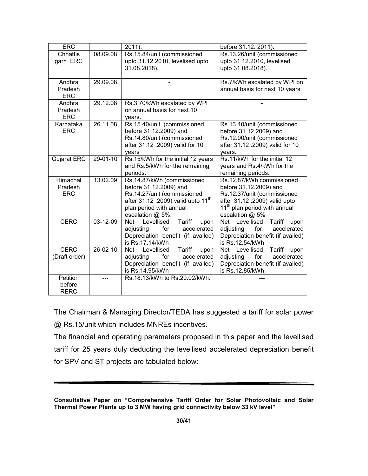| <b>ERC</b>                        |                | 2011).                                                                                                                                                                                                                                                                | before 31.12. 2011).                                                                                                                                                               |  |
|-----------------------------------|----------------|-----------------------------------------------------------------------------------------------------------------------------------------------------------------------------------------------------------------------------------------------------------------------|------------------------------------------------------------------------------------------------------------------------------------------------------------------------------------|--|
| <b>Chhattis</b><br>garh ERC       | 08.09.08       | Rs.15.84/unit (commissioned<br>upto 31.12.2010, levelised upto<br>31.08.2018).                                                                                                                                                                                        | Rs.13.26/unit (commissioned<br>upto 31.12.2010, levelised<br>upto 31.08.2018).                                                                                                     |  |
| Andhra<br>Pradesh<br><b>ERC</b>   | 29.09.08       |                                                                                                                                                                                                                                                                       | Rs.7/kWh escalated by WPI on<br>annual basis for next 10 years                                                                                                                     |  |
| Andhra<br>Pradesh<br><b>ERC</b>   | 29.12.08       | Rs.3.70/kWh escalated by WPI<br>on annual basis for next 10<br>vears.                                                                                                                                                                                                 |                                                                                                                                                                                    |  |
| Karnataka<br><b>ERC</b>           | 26.11.08       | Rs.15.40/unit (commissioned<br>Rs.13.40/unit (commissioned<br>before 31.12.2009) and<br>before 31.12.2009) and<br>Rs.14.80/unit (commissioned<br>Rs.12.90/unit (commissioned<br>after 31.12 .2009) valid for 10<br>after 31.12 .2009) valid for 10<br>vears<br>vears. |                                                                                                                                                                                    |  |
| <b>Gujarat ERC</b>                | $29 - 01 - 10$ | Rs.15/kWh for the initial 12 years<br>and Rs.5/kWh for the remaining<br>periods.                                                                                                                                                                                      | Rs.11/kWh for the initial 12<br>years and Rs.4/kWh for the<br>remaining periods.                                                                                                   |  |
| Himachal<br>Pradesh<br><b>ERC</b> | 13.02.09       | Rs.14.87/kWh (commissioned<br>before 31.12.2009) and<br>Rs.14.27/unit (commissioned<br>after 31.12 .2009) valid upto 11 <sup>th</sup><br>plan period with annual<br>escalation @ 5%.                                                                                  | Rs.12.87/kWh commissioned<br>before 31.12.2009) and<br>Rs.12.37/unit (commissioned<br>after 31.12 .2009) valid upto<br>11 <sup>th</sup> plan period with annual<br>escalation @ 5% |  |
| <b>CERC</b>                       | 03-12-09       | Levellised<br>Tariff<br>Net<br>upon<br>accelerated<br>for<br>adjusting<br>Depreciation benefit (if availed)<br>is Rs.17.14/kWh                                                                                                                                        | Net Levellised<br>Tariff<br>upon<br>for<br>accelerated<br>adjusting<br>Depreciation benefit (if availed)<br>is Rs.12.54/kWh                                                        |  |
| <b>CERC</b><br>(Draft order)      | $26 - 02 - 10$ | <b>Tariff</b><br>Net Levellised<br>upon<br>accelerated<br>for<br>adjusting<br>Depreciation benefit (if availed)<br>is Rs.14.95/kWh                                                                                                                                    | Net Levellised<br>Tariff<br>upon<br>accelerated<br>adjusting<br>for<br>Depreciation benefit (if availed)<br>is Rs.12.85/kWh                                                        |  |
| Petition<br>before<br><b>RERC</b> |                | Rs.18.13/kWh to Rs.20.02/kWh.                                                                                                                                                                                                                                         |                                                                                                                                                                                    |  |

The Chairman & Managing Director/TEDA has suggested a tariff for solar power @ Rs.15/unit which includes MNREs incentives.

The financial and operating parameters proposed in this paper and the levellised tariff for 25 years duly deducting the levellised accelerated depreciation benefit for SPV and ST projects are tabulated below:

Consultative Paper on "Comprehensive Tariff Order for Solar Photovoltaic and Solar Thermal Power Plants up to 3 MW having grid connectivity below 33 kV level"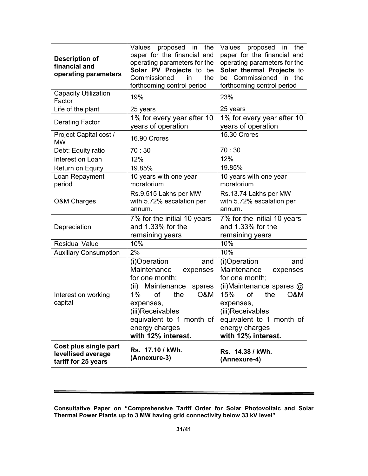| <b>Description of</b><br>financial and<br>operating parameters                         | Values proposed in<br>the<br>paper for the financial and<br>operating parameters for the<br>Solar PV Projects to be<br>Commissioned<br>the<br>in<br>forthcoming control period                                             | Values proposed in the<br>paper for the financial and<br>operating parameters for the<br>Solar thermal Projects to<br>be Commissioned in the<br>forthcoming control period                                                   |  |
|----------------------------------------------------------------------------------------|----------------------------------------------------------------------------------------------------------------------------------------------------------------------------------------------------------------------------|------------------------------------------------------------------------------------------------------------------------------------------------------------------------------------------------------------------------------|--|
| <b>Capacity Utilization</b><br>Factor                                                  | 19%                                                                                                                                                                                                                        | 23%                                                                                                                                                                                                                          |  |
| Life of the plant                                                                      | 25 years                                                                                                                                                                                                                   | 25 years                                                                                                                                                                                                                     |  |
| <b>Derating Factor</b>                                                                 | 1% for every year after 10<br>years of operation                                                                                                                                                                           | 1% for every year after 10<br>years of operation                                                                                                                                                                             |  |
| Project Capital cost /<br><b>MW</b>                                                    | 16.90 Crores                                                                                                                                                                                                               | 15.30 Crores                                                                                                                                                                                                                 |  |
| Debt: Equity ratio                                                                     | 70:30                                                                                                                                                                                                                      | 70:30                                                                                                                                                                                                                        |  |
| Interest on Loan                                                                       | 12%                                                                                                                                                                                                                        | 12%                                                                                                                                                                                                                          |  |
| Return on Equity                                                                       | 19.85%                                                                                                                                                                                                                     | 19.85%                                                                                                                                                                                                                       |  |
| Loan Repayment<br>period                                                               | 10 years with one year<br>moratorium                                                                                                                                                                                       | 10 years with one year<br>moratorium                                                                                                                                                                                         |  |
| Rs.9.515 Lakhs per MW<br>with 5.72% escalation per<br><b>O&amp;M Charges</b><br>annum. |                                                                                                                                                                                                                            | Rs.13.74 Lakhs per MW<br>with 5.72% escalation per<br>annum.                                                                                                                                                                 |  |
| Depreciation                                                                           | 7% for the initial 10 years<br>and 1.33% for the<br>remaining years                                                                                                                                                        | 7% for the initial 10 years<br>and 1.33% for the<br>remaining years                                                                                                                                                          |  |
| <b>Residual Value</b>                                                                  | 10%                                                                                                                                                                                                                        | 10%                                                                                                                                                                                                                          |  |
| <b>Auxiliary Consumption</b>                                                           | 2%                                                                                                                                                                                                                         | 10%                                                                                                                                                                                                                          |  |
| Interest on working<br>capital                                                         | (i)Operation<br>and<br>Maintenance<br>expenses<br>for one month;<br>(ii) Maintenance spares<br>1%<br>of<br>the<br>O&M<br>expenses,<br>(iii)Receivables<br>equivalent to 1 month of<br>energy charges<br>with 12% interest. | (i)Operation<br>and<br>Maintenance<br>expenses<br>for one month;<br>(ii)Maintenance spares @<br>15%<br>of<br>the<br>O&M<br>expenses,<br>(iii)Receivables<br>equivalent to 1 month of<br>energy charges<br>with 12% interest. |  |
| Cost plus single part<br>levellised average<br>tariff for 25 years                     | Rs. 17.10 / kWh.<br>(Annexure-3)                                                                                                                                                                                           | Rs. 14.38 / kWh.<br>(Annexure-4)                                                                                                                                                                                             |  |

Consultative Paper on "Comprehensive Tariff Order for Solar Photovoltaic and Solar Thermal Power Plants up to 3 MW having grid connectivity below 33 kV level"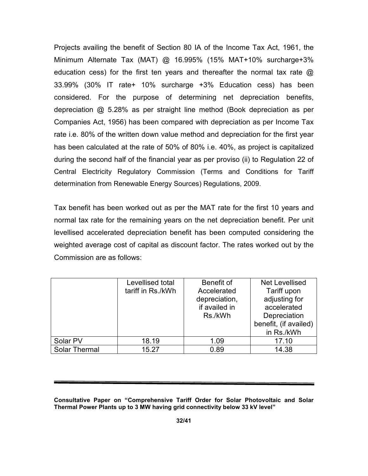Projects availing the benefit of Section 80 IA of the Income Tax Act, 1961, the Minimum Alternate Tax (MAT) @ 16.995% (15% MAT+10% surcharge+3% education cess) for the first ten years and thereafter the normal tax rate @ 33.99% (30% IT rate+ 10% surcharge +3% Education cess) has been considered. For the purpose of determining net depreciation benefits, depreciation @ 5.28% as per straight line method (Book depreciation as per Companies Act, 1956) has been compared with depreciation as per Income Tax rate i.e. 80% of the written down value method and depreciation for the first year has been calculated at the rate of 50% of 80% i.e. 40%, as project is capitalized during the second half of the financial year as per proviso (ii) to Regulation 22 of Central Electricity Regulatory Commission (Terms and Conditions for Tariff determination from Renewable Energy Sources) Regulations, 2009.

Tax benefit has been worked out as per the MAT rate for the first 10 years and normal tax rate for the remaining years on the net depreciation benefit. Per unit levellised accelerated depreciation benefit has been computed considering the weighted average cost of capital as discount factor. The rates worked out by the Commission are as follows:

|               | Levellised total<br>tariff in Rs./kWh | Benefit of<br>Accelerated      | Net Levellised<br>Tariff upon |
|---------------|---------------------------------------|--------------------------------|-------------------------------|
|               |                                       | depreciation,<br>if availed in | adjusting for<br>accelerated  |
|               |                                       | Rs./kWh                        | Depreciation                  |
|               |                                       |                                | benefit, (if availed)         |
|               |                                       |                                | in Rs./kWh                    |
| Solar PV      | 18.19                                 | 1.09                           | 17.10                         |
| Solar Thermal | 15.27                                 | 0.89                           | 14.38                         |

Consultative Paper on "Comprehensive Tariff Order for Solar Photovoltaic and Solar Thermal Power Plants up to 3 MW having grid connectivity below 33 kV level"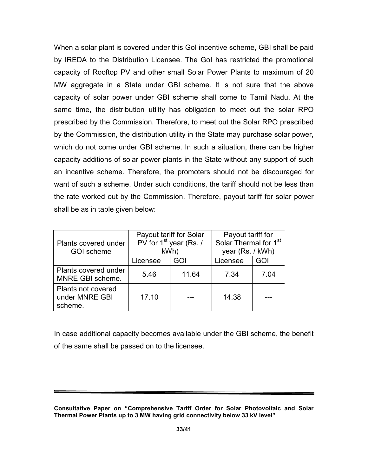When a solar plant is covered under this GoI incentive scheme, GBI shall be paid by IREDA to the Distribution Licensee. The GoI has restricted the promotional capacity of Rooftop PV and other small Solar Power Plants to maximum of 20 MW aggregate in a State under GBI scheme. It is not sure that the above capacity of solar power under GBI scheme shall come to Tamil Nadu. At the same time, the distribution utility has obligation to meet out the solar RPO prescribed by the Commission. Therefore, to meet out the Solar RPO prescribed by the Commission, the distribution utility in the State may purchase solar power, which do not come under GBI scheme. In such a situation, there can be higher capacity additions of solar power plants in the State without any support of such an incentive scheme. Therefore, the promoters should not be discouraged for want of such a scheme. Under such conditions, the tariff should not be less than the rate worked out by the Commission. Therefore, payout tariff for solar power shall be as in table given below:

| Plants covered under<br><b>GOI</b> scheme       | Payout tariff for Solar<br>PV for 1 <sup>st</sup> year (Rs. /<br>kWh) |       | Payout tariff for<br>Solar Thermal for 1 <sup>st</sup><br>year (Rs. / kWh) |      |
|-------------------------------------------------|-----------------------------------------------------------------------|-------|----------------------------------------------------------------------------|------|
|                                                 | Licensee                                                              | GOI   | Licensee                                                                   | GOI  |
| Plants covered under<br>MNRE GBI scheme.        | 5.46                                                                  | 11.64 | 7.34                                                                       | 7.04 |
| Plants not covered<br>under MNRE GBI<br>scheme. | 17.10                                                                 |       | 14.38                                                                      |      |

In case additional capacity becomes available under the GBI scheme, the benefit of the same shall be passed on to the licensee.

Consultative Paper on "Comprehensive Tariff Order for Solar Photovoltaic and Solar Thermal Power Plants up to 3 MW having grid connectivity below 33 kV level"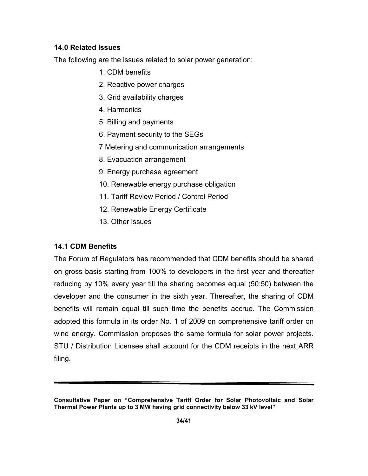# 14.0 Related Issues

The following are the issues related to solar power generation:

- 1. CDM benefits
- 2. Reactive power charges
- 3. Grid availability charges
- 4. Harmonics
- 5. Billing and payments
- 6. Payment security to the SEGs
- 7 Metering and communication arrangements
- 8. Evacuation arrangement
- 9. Energy purchase agreement
- 10. Renewable energy purchase obligation
- 11. Tariff Review Period / Control Period
- 12. Renewable Energy Certificate
- 13. Other issues

# 14.1 CDM Benefits

The Forum of Regulators has recommended that CDM benefits should be shared on gross basis starting from 100% to developers in the first year and thereafter reducing by 10% every year till the sharing becomes equal (50:50) between the developer and the consumer in the sixth year. Thereafter, the sharing of CDM benefits will remain equal till such time the benefits accrue. The Commission adopted this formula in its order No. 1 of 2009 on comprehensive tariff order on wind energy. Commission proposes the same formula for solar power projects. STU / Distribution Licensee shall account for the CDM receipts in the next ARR filing.

Consultative Paper on "Comprehensive Tariff Order for Solar Photovoltaic and Solar Thermal Power Plants up to 3 MW having grid connectivity below 33 kV level"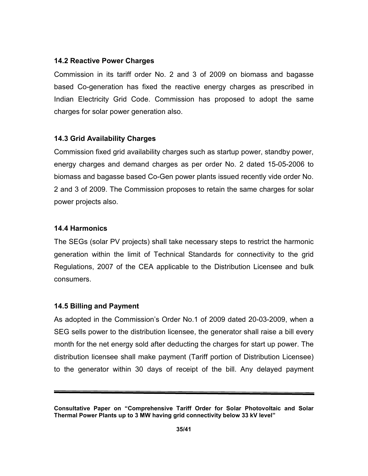## 14.2 Reactive Power Charges

Commission in its tariff order No. 2 and 3 of 2009 on biomass and bagasse based Co-generation has fixed the reactive energy charges as prescribed in Indian Electricity Grid Code. Commission has proposed to adopt the same charges for solar power generation also.

# 14.3 Grid Availability Charges

Commission fixed grid availability charges such as startup power, standby power, energy charges and demand charges as per order No. 2 dated 15-05-2006 to biomass and bagasse based Co-Gen power plants issued recently vide order No. 2 and 3 of 2009. The Commission proposes to retain the same charges for solar power projects also.

# 14.4 Harmonics

The SEGs (solar PV projects) shall take necessary steps to restrict the harmonic generation within the limit of Technical Standards for connectivity to the grid Regulations, 2007 of the CEA applicable to the Distribution Licensee and bulk consumers.

# 14.5 Billing and Payment

As adopted in the Commission's Order No.1 of 2009 dated 20-03-2009, when a SEG sells power to the distribution licensee, the generator shall raise a bill every month for the net energy sold after deducting the charges for start up power. The distribution licensee shall make payment (Tariff portion of Distribution Licensee) to the generator within 30 days of receipt of the bill. Any delayed payment

Consultative Paper on "Comprehensive Tariff Order for Solar Photovoltaic and Solar Thermal Power Plants up to 3 MW having grid connectivity below 33 kV level"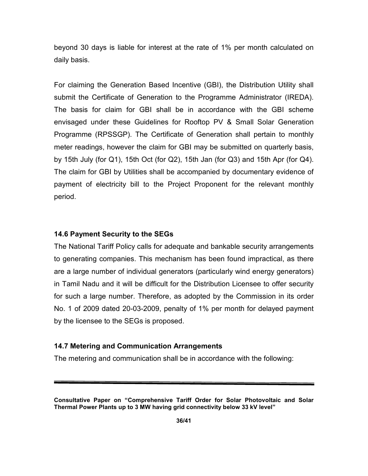beyond 30 days is liable for interest at the rate of 1% per month calculated on daily basis.

For claiming the Generation Based Incentive (GBI), the Distribution Utility shall submit the Certificate of Generation to the Programme Administrator (IREDA). The basis for claim for GBI shall be in accordance with the GBI scheme envisaged under these Guidelines for Rooftop PV & Small Solar Generation Programme (RPSSGP). The Certificate of Generation shall pertain to monthly meter readings, however the claim for GBI may be submitted on quarterly basis, by 15th July (for Q1), 15th Oct (for Q2), 15th Jan (for Q3) and 15th Apr (for Q4). The claim for GBI by Utilities shall be accompanied by documentary evidence of payment of electricity bill to the Project Proponent for the relevant monthly period.

## 14.6 Payment Security to the SEGs

The National Tariff Policy calls for adequate and bankable security arrangements to generating companies. This mechanism has been found impractical, as there are a large number of individual generators (particularly wind energy generators) in Tamil Nadu and it will be difficult for the Distribution Licensee to offer security for such a large number. Therefore, as adopted by the Commission in its order No. 1 of 2009 dated 20-03-2009, penalty of 1% per month for delayed payment by the licensee to the SEGs is proposed.

## 14.7 Metering and Communication Arrangements

The metering and communication shall be in accordance with the following:

Consultative Paper on "Comprehensive Tariff Order for Solar Photovoltaic and Solar Thermal Power Plants up to 3 MW having grid connectivity below 33 kV level"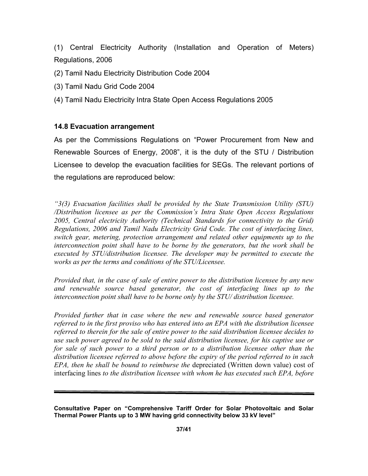(1) Central Electricity Authority (Installation and Operation of Meters) Regulations, 2006

- (2) Tamil Nadu Electricity Distribution Code 2004
- (3) Tamil Nadu Grid Code 2004
- (4) Tamil Nadu Electricity Intra State Open Access Regulations 2005

## 14.8 Evacuation arrangement

As per the Commissions Regulations on "Power Procurement from New and Renewable Sources of Energy, 2008", it is the duty of the STU / Distribution Licensee to develop the evacuation facilities for SEGs. The relevant portions of the regulations are reproduced below:

"3(3) Evacuation facilities shall be provided by the State Transmission Utility (STU) /Distribution licensee as per the Commission's Intra State Open Access Regulations 2005, Central electricity Authority (Technical Standards for connectivity to the Grid) Regulations, 2006 and Tamil Nadu Electricity Grid Code. The cost of interfacing lines, switch gear, metering, protection arrangement and related other equipments up to the interconnection point shall have to be borne by the generators, but the work shall be executed by STU/distribution licensee. The developer may be permitted to execute the works as per the terms and conditions of the STU/Licensee.

Provided that, in the case of sale of entire power to the distribution licensee by any new and renewable source based generator, the cost of interfacing lines up to the interconnection point shall have to be borne only by the STU/ distribution licensee.

Provided further that in case where the new and renewable source based generator referred to in the first proviso who has entered into an EPA with the distribution licensee referred to therein for the sale of entire power to the said distribution licensee decides to use such power agreed to be sold to the said distribution licensee, for his captive use or for sale of such power to a third person or to a distribution licensee other than the distribution licensee referred to above before the expiry of the period referred to in such EPA, then he shall be bound to reimburse the depreciated (Written down value) cost of interfacing lines to the distribution licensee with whom he has executed such EPA, before

Consultative Paper on "Comprehensive Tariff Order for Solar Photovoltaic and Solar Thermal Power Plants up to 3 MW having grid connectivity below 33 kV level"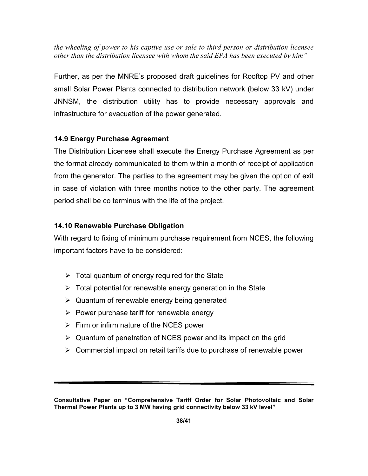the wheeling of power to his captive use or sale to third person or distribution licensee other than the distribution licensee with whom the said EPA has been executed by him"

Further, as per the MNRE's proposed draft guidelines for Rooftop PV and other small Solar Power Plants connected to distribution network (below 33 kV) under JNNSM, the distribution utility has to provide necessary approvals and infrastructure for evacuation of the power generated.

# 14.9 Energy Purchase Agreement

The Distribution Licensee shall execute the Energy Purchase Agreement as per the format already communicated to them within a month of receipt of application from the generator. The parties to the agreement may be given the option of exit in case of violation with three months notice to the other party. The agreement period shall be co terminus with the life of the project.

# 14.10 Renewable Purchase Obligation

With regard to fixing of minimum purchase requirement from NCES, the following important factors have to be considered:

- $\triangleright$  Total quantum of energy required for the State
- $\triangleright$  Total potential for renewable energy generation in the State
- $\triangleright$  Quantum of renewable energy being generated
- $\triangleright$  Power purchase tariff for renewable energy
- $\triangleright$  Firm or infirm nature of the NCES power
- $\triangleright$  Quantum of penetration of NCES power and its impact on the grid
- $\triangleright$  Commercial impact on retail tariffs due to purchase of renewable power

Consultative Paper on "Comprehensive Tariff Order for Solar Photovoltaic and Solar Thermal Power Plants up to 3 MW having grid connectivity below 33 kV level"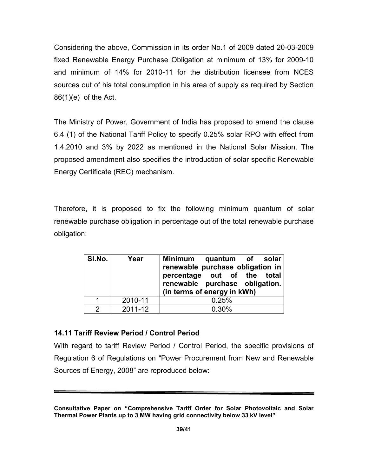Considering the above, Commission in its order No.1 of 2009 dated 20-03-2009 fixed Renewable Energy Purchase Obligation at minimum of 13% for 2009-10 and minimum of 14% for 2010-11 for the distribution licensee from NCES sources out of his total consumption in his area of supply as required by Section 86(1)(e) of the Act.

The Ministry of Power, Government of India has proposed to amend the clause 6.4 (1) of the National Tariff Policy to specify 0.25% solar RPO with effect from 1.4.2010 and 3% by 2022 as mentioned in the National Solar Mission. The proposed amendment also specifies the introduction of solar specific Renewable Energy Certificate (REC) mechanism.

Therefore, it is proposed to fix the following minimum quantum of solar renewable purchase obligation in percentage out of the total renewable purchase obligation:

| SI.No. | Year    | Minimum quantum of solar<br>renewable purchase obligation in<br>percentage out of the total<br>renewable purchase obligation.<br>(in terms of energy in kWh) |
|--------|---------|--------------------------------------------------------------------------------------------------------------------------------------------------------------|
|        | 2010-11 | 0.25%                                                                                                                                                        |
|        | 2011-12 | 0.30%                                                                                                                                                        |

## 14.11 Tariff Review Period / Control Period

With regard to tariff Review Period / Control Period, the specific provisions of Regulation 6 of Regulations on "Power Procurement from New and Renewable Sources of Energy, 2008" are reproduced below:

Consultative Paper on "Comprehensive Tariff Order for Solar Photovoltaic and Solar Thermal Power Plants up to 3 MW having grid connectivity below 33 kV level"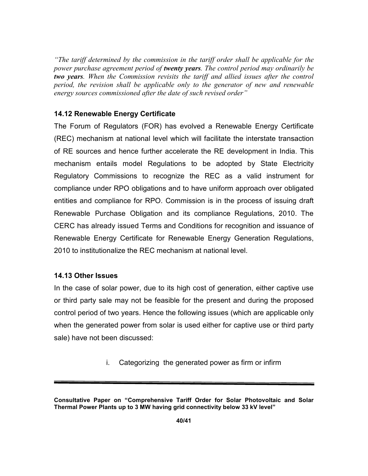"The tariff determined by the commission in the tariff order shall be applicable for the power purchase agreement period of twenty years. The control period may ordinarily be two years. When the Commission revisits the tariff and allied issues after the control period, the revision shall be applicable only to the generator of new and renewable energy sources commissioned after the date of such revised order"

## 14.12 Renewable Energy Certificate

The Forum of Regulators (FOR) has evolved a Renewable Energy Certificate (REC) mechanism at national level which will facilitate the interstate transaction of RE sources and hence further accelerate the RE development in India. This mechanism entails model Regulations to be adopted by State Electricity Regulatory Commissions to recognize the REC as a valid instrument for compliance under RPO obligations and to have uniform approach over obligated entities and compliance for RPO. Commission is in the process of issuing draft Renewable Purchase Obligation and its compliance Regulations, 2010. The CERC has already issued Terms and Conditions for recognition and issuance of Renewable Energy Certificate for Renewable Energy Generation Regulations, 2010 to institutionalize the REC mechanism at national level.

## 14.13 Other Issues

In the case of solar power, due to its high cost of generation, either captive use or third party sale may not be feasible for the present and during the proposed control period of two years. Hence the following issues (which are applicable only when the generated power from solar is used either for captive use or third party sale) have not been discussed:

i. Categorizing the generated power as firm or infirm

Consultative Paper on "Comprehensive Tariff Order for Solar Photovoltaic and Solar Thermal Power Plants up to 3 MW having grid connectivity below 33 kV level"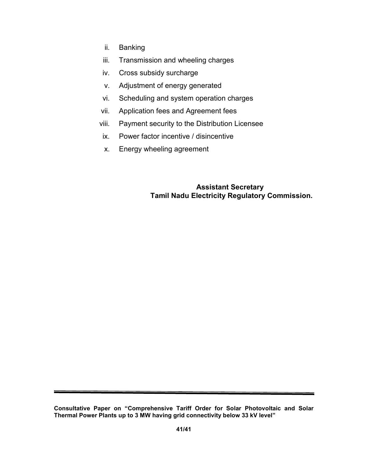- ii. Banking
- iii. Transmission and wheeling charges
- iv. Cross subsidy surcharge
- v. Adjustment of energy generated
- vi. Scheduling and system operation charges
- vii. Application fees and Agreement fees
- viii. Payment security to the Distribution Licensee
- ix. Power factor incentive / disincentive
- x. Energy wheeling agreement

# Assistant Secretary Tamil Nadu Electricity Regulatory Commission.

Consultative Paper on "Comprehensive Tariff Order for Solar Photovoltaic and Solar Thermal Power Plants up to 3 MW having grid connectivity below 33 kV level"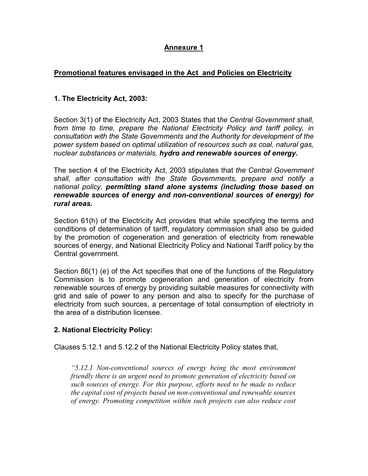# Annexure 1

# Promotional features envisaged in the Act and Policies on Electricity

# 1. The Electricity Act, 2003:

Section 3(1) of the Electricity Act, 2003 States that the Central Government shall, from time to time, prepare the National Electricity Policy and tariff policy, in consultation with the State Governments and the Authority for development of the power system based on optimal utilization of resources such as coal, natural gas, nuclear substances or materials, hydro and renewable sources of energy.

The section 4 of the Electricity Act, 2003 stipulates that the Central Government shall, after consultation with the State Governments, prepare and notify a national policy, permitting stand alone systems (including those based on renewable sources of energy and non-conventional sources of energy) for rural areas.

Section 61(h) of the Electricity Act provides that while specifying the terms and conditions of determination of tariff, regulatory commission shall also be guided by the promotion of cogeneration and generation of electricity from renewable sources of energy, and National Electricity Policy and National Tariff policy by the Central government.

Section 86(1) (e) of the Act specifies that one of the functions of the Regulatory Commission is to promote cogeneration and generation of electricity from renewable sources of energy by providing suitable measures for connectivity with grid and sale of power to any person and also to specify for the purchase of electricity from such sources, a percentage of total consumption of electricity in the area of a distribution licensee.

# 2. National Electricity Policy:

Clauses 5.12.1 and 5.12.2 of the National Electricity Policy states that,

"5.12.1 Non-conventional sources of energy being the most environment friendly there is an urgent need to promote generation of electricity based on such sources of energy. For this purpose, efforts need to be made to reduce the capital cost of projects based on non-conventional and renewable sources of energy. Promoting competition within such projects can also reduce cost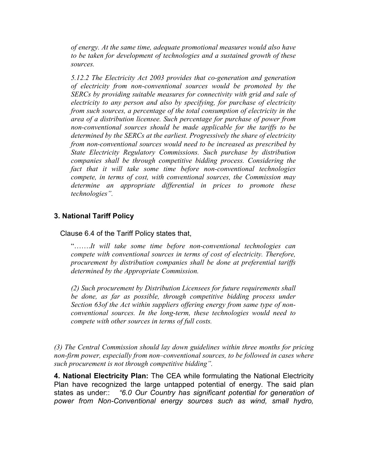of energy. At the same time, adequate promotional measures would also have to be taken for development of technologies and a sustained growth of these sources.

5.12.2 The Electricity Act 2003 provides that co-generation and generation of electricity from non-conventional sources would be promoted by the SERCs by providing suitable measures for connectivity with grid and sale of electricity to any person and also by specifying, for purchase of electricity from such sources, a percentage of the total consumption of electricity in the area of a distribution licensee. Such percentage for purchase of power from non-conventional sources should be made applicable for the tariffs to be determined by the SERCs at the earliest. Progressively the share of electricity from non-conventional sources would need to be increased as prescribed by State Electricity Regulatory Commissions. Such purchase by distribution companies shall be through competitive bidding process. Considering the fact that it will take some time before non-conventional technologies compete, in terms of cost, with conventional sources, the Commission may determine an appropriate differential in prices to promote these technologies".

# 3. National Tariff Policy

Clause 6.4 of the Tariff Policy states that,

"…….It will take some time before non-conventional technologies can compete with conventional sources in terms of cost of electricity. Therefore, procurement by distribution companies shall be done at preferential tariffs determined by the Appropriate Commission.

(2) Such procurement by Distribution Licensees for future requirements shall be done, as far as possible, through competitive bidding process under Section 63of the Act within suppliers offering energy from same type of nonconventional sources. In the long-term, these technologies would need to compete with other sources in terms of full costs.

(3) The Central Commission should lay down guidelines within three months for pricing non-firm power, especially from non–conventional sources, to be followed in cases where such procurement is not through competitive bidding".

4. National Electricity Plan: The CEA while formulating the National Electricity Plan have recognized the large untapped potential of energy. The said plan states as under:: "6.0 Our Country has significant potential for generation of power from Non-Conventional energy sources such as wind, small hydro,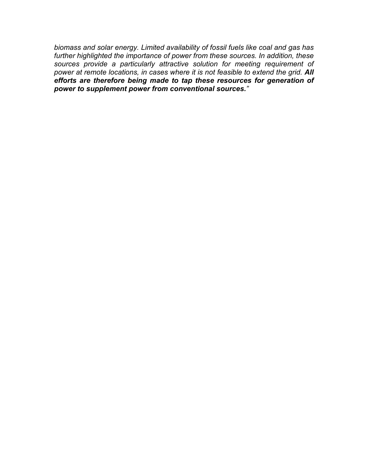biomass and solar energy. Limited availability of fossil fuels like coal and gas has further highlighted the importance of power from these sources. In addition, these sources provide a particularly attractive solution for meeting requirement of power at remote locations, in cases where it is not feasible to extend the grid. All efforts are therefore being made to tap these resources for generation of power to supplement power from conventional sources."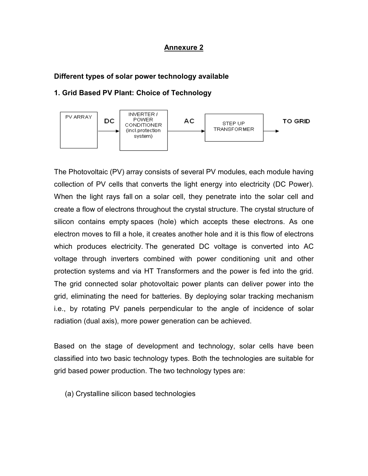## Annexure 2

## Different types of solar power technology available

## 1. Grid Based PV Plant: Choice of Technology



The Photovoltaic (PV) array consists of several PV modules, each module having collection of PV cells that converts the light energy into electricity (DC Power). When the light rays fall on a solar cell, they penetrate into the solar cell and create a flow of electrons throughout the crystal structure. The crystal structure of silicon contains empty spaces (hole) which accepts these electrons. As one electron moves to fill a hole, it creates another hole and it is this flow of electrons which produces electricity. The generated DC voltage is converted into AC voltage through inverters combined with power conditioning unit and other protection systems and via HT Transformers and the power is fed into the grid. The grid connected solar photovoltaic power plants can deliver power into the grid, eliminating the need for batteries. By deploying solar tracking mechanism i.e., by rotating PV panels perpendicular to the angle of incidence of solar radiation (dual axis), more power generation can be achieved.

Based on the stage of development and technology, solar cells have been classified into two basic technology types. Both the technologies are suitable for grid based power production. The two technology types are:

(a) Crystalline silicon based technologies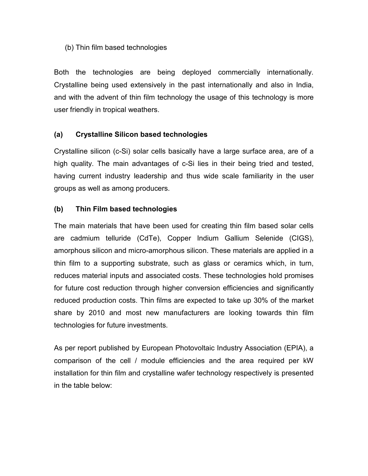# (b) Thin film based technologies

Both the technologies are being deployed commercially internationally. Crystalline being used extensively in the past internationally and also in India, and with the advent of thin film technology the usage of this technology is more user friendly in tropical weathers.

# (a) Crystalline Silicon based technologies

Crystalline silicon (c-Si) solar cells basically have a large surface area, are of a high quality. The main advantages of c-Si lies in their being tried and tested, having current industry leadership and thus wide scale familiarity in the user groups as well as among producers.

# (b) Thin Film based technologies

The main materials that have been used for creating thin film based solar cells are cadmium telluride (CdTe), Copper Indium Gallium Selenide (CIGS), amorphous silicon and micro-amorphous silicon. These materials are applied in a thin film to a supporting substrate, such as glass or ceramics which, in turn, reduces material inputs and associated costs. These technologies hold promises for future cost reduction through higher conversion efficiencies and significantly reduced production costs. Thin films are expected to take up 30% of the market share by 2010 and most new manufacturers are looking towards thin film technologies for future investments.

As per report published by European Photovoltaic Industry Association (EPIA), a comparison of the cell / module efficiencies and the area required per kW installation for thin film and crystalline wafer technology respectively is presented in the table below: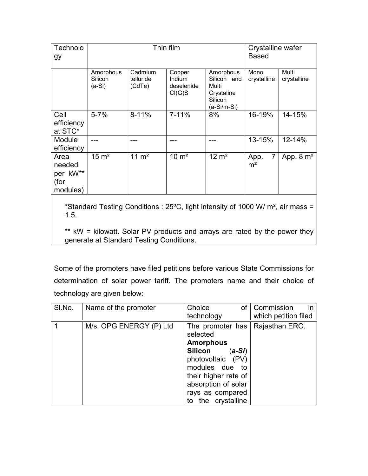|                                  |                                | Crystalline wafer<br><b>Based</b>        |                                                                           |                                          |                      |
|----------------------------------|--------------------------------|------------------------------------------|---------------------------------------------------------------------------|------------------------------------------|----------------------|
| Amorphous<br>Silicon<br>$(a-Si)$ | Cadmium<br>telluride<br>(CdTe) | Copper<br>Indium<br>deselenide<br>Cl(G)S | Amorphous<br>Silicon and<br>Multi<br>Crystaline<br>Silicon<br>(a-Si/m-Si) | Mono<br>crystalline                      | Multi<br>crystalline |
| $5 - 7%$                         | $8 - 11%$                      | $7 - 11%$                                | 8%                                                                        | 16-19%                                   | 14-15%               |
|                                  |                                |                                          |                                                                           | 13-15%                                   | 12-14%               |
| $15 \text{ m}^2$                 | $11 \text{ m}^2$               | $10 \text{ m}^2$                         | $12 \text{ m}^2$                                                          | $\overline{7}$<br>App.<br>m <sup>2</sup> | App. $8 \text{ m}^2$ |
|                                  |                                |                                          | Thin film                                                                 |                                          |                      |

\*Standard Testing Conditions : 25ºC, light intensity of 1000 W/ m², air mass = 1.5.

\*\* kW = kilowatt. Solar PV products and arrays are rated by the power they generate at Standard Testing Conditions.

Some of the promoters have filed petitions before various State Commissions for determination of solar power tariff. The promoters name and their choice of technology are given below:

| SI.No. | Name of the promoter    | Choice<br>οf<br>technology                                                                                                                                                                                         | Commission<br>$\mathsf{I}$<br>which petition filed |
|--------|-------------------------|--------------------------------------------------------------------------------------------------------------------------------------------------------------------------------------------------------------------|----------------------------------------------------|
|        | M/s. OPG ENERGY (P) Ltd | The promoter has<br>selected<br><b>Amorphous</b><br><b>Silicon</b><br>(a-Si)<br>photovoltaic (PV)<br>modules due<br>to<br>their higher rate of<br>absorption of solar<br>rays as compared<br>the crystalline<br>tΟ | Rajasthan ERC.                                     |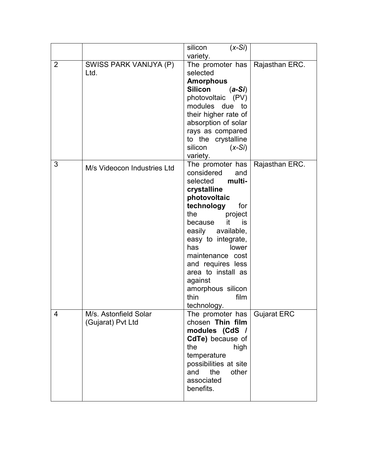|   |                                            | silicon<br>$(x-Si)$                                                                                                                                                                                                                                                                                                                                |                    |
|---|--------------------------------------------|----------------------------------------------------------------------------------------------------------------------------------------------------------------------------------------------------------------------------------------------------------------------------------------------------------------------------------------------------|--------------------|
| 2 | SWISS PARK VANIJYA (P)<br>Ltd.             | variety.<br>The promoter has<br>selected<br><b>Amorphous</b><br><b>Silicon</b><br>$(a-Si)$<br>photovoltaic (PV)<br>modules due to<br>their higher rate of<br>absorption of solar<br>rays as compared<br>to the crystalline<br>silicon<br>$(x-Si)$<br>variety.                                                                                      | Rajasthan ERC.     |
| 3 | M/s Videocon Industries Ltd                | The promoter has<br>considered<br>and<br>selected<br>multi-<br>crystalline<br>photovoltaic<br>technology<br>for<br>the<br>project<br>it.<br>because<br>is<br>easily available,<br>easy to integrate,<br>has<br>lower<br>maintenance cost<br>and requires less<br>area to install as<br>against<br>amorphous silicon<br>thin<br>film<br>technology. | Rajasthan ERC.     |
| 4 | M/s. Astonfield Solar<br>(Gujarat) Pvt Ltd | The promoter has  <br>chosen Thin film<br>modules (CdS /<br>CdTe) because of<br>the<br>high<br>temperature<br>possibilities at site<br>the<br>other<br>and<br>associated<br>benefits.                                                                                                                                                              | <b>Gujarat ERC</b> |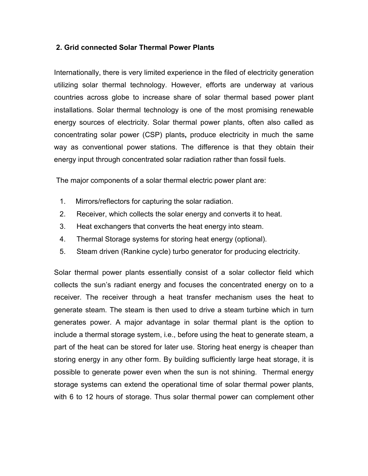# 2. Grid connected Solar Thermal Power Plants

Internationally, there is very limited experience in the filed of electricity generation utilizing solar thermal technology. However, efforts are underway at various countries across globe to increase share of solar thermal based power plant installations. Solar thermal technology is one of the most promising renewable energy sources of electricity. Solar thermal power plants, often also called as concentrating solar power (CSP) plants, produce electricity in much the same way as conventional power stations. The difference is that they obtain their energy input through concentrated solar radiation rather than fossil fuels.

The major components of a solar thermal electric power plant are:

- 1. Mirrors/reflectors for capturing the solar radiation.
- 2. Receiver, which collects the solar energy and converts it to heat.
- 3. Heat exchangers that converts the heat energy into steam.
- 4. Thermal Storage systems for storing heat energy (optional).
- 5. Steam driven (Rankine cycle) turbo generator for producing electricity.

Solar thermal power plants essentially consist of a solar collector field which collects the sun's radiant energy and focuses the concentrated energy on to a receiver. The receiver through a heat transfer mechanism uses the heat to generate steam. The steam is then used to drive a steam turbine which in turn generates power. A major advantage in solar thermal plant is the option to include a thermal storage system, i.e., before using the heat to generate steam, a part of the heat can be stored for later use. Storing heat energy is cheaper than storing energy in any other form. By building sufficiently large heat storage, it is possible to generate power even when the sun is not shining. Thermal energy storage systems can extend the operational time of solar thermal power plants, with 6 to 12 hours of storage. Thus solar thermal power can complement other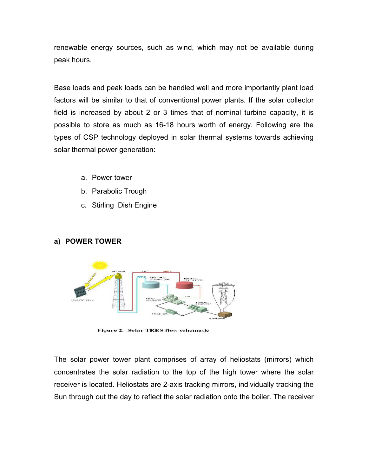renewable energy sources, such as wind, which may not be available during peak hours.

Base loads and peak loads can be handled well and more importantly plant load factors will be similar to that of conventional power plants. If the solar collector field is increased by about 2 or 3 times that of nominal turbine capacity, it is possible to store as much as 16-18 hours worth of energy. Following are the types of CSP technology deployed in solar thermal systems towards achieving solar thermal power generation:

- a. Power tower
- b. Parabolic Trough
- c. Stirling Dish Engine

# a) POWER TOWER



**Figure 2. Solar TRES flow schematic** 

The solar power tower plant comprises of array of heliostats (mirrors) which concentrates the solar radiation to the top of the high tower where the solar receiver is located. Heliostats are 2-axis tracking mirrors, individually tracking the Sun through out the day to reflect the solar radiation onto the boiler. The receiver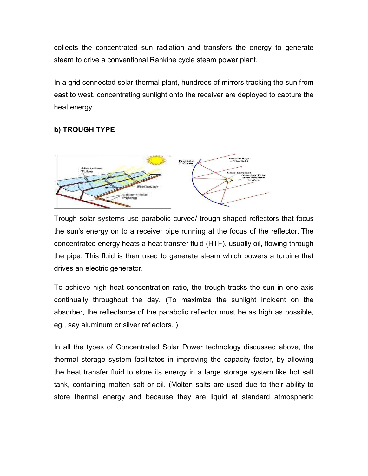collects the concentrated sun radiation and transfers the energy to generate steam to drive a conventional Rankine cycle steam power plant.

In a grid connected solar-thermal plant, hundreds of mirrors tracking the sun from east to west, concentrating sunlight onto the receiver are deployed to capture the heat energy.

# b) TROUGH TYPE



Trough solar systems use parabolic curved/ trough shaped reflectors that focus the sun's energy on to a receiver pipe running at the focus of the reflector. The concentrated energy heats a heat transfer fluid (HTF), usually oil, flowing through the pipe. This fluid is then used to generate steam which powers a turbine that drives an electric generator.

To achieve high heat concentration ratio, the trough tracks the sun in one axis continually throughout the day. (To maximize the sunlight incident on the absorber, the reflectance of the parabolic reflector must be as high as possible, eg., say aluminum or silver reflectors. )

In all the types of Concentrated Solar Power technology discussed above, the thermal storage system facilitates in improving the capacity factor, by allowing the heat transfer fluid to store its energy in a large storage system like hot salt tank, containing molten salt or oil. (Molten salts are used due to their ability to store thermal energy and because they are liquid at standard atmospheric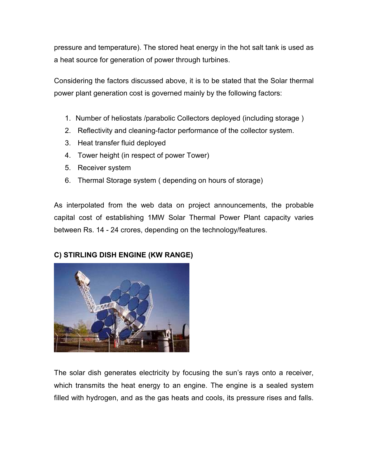pressure and temperature). The stored heat energy in the hot salt tank is used as a heat source for generation of power through turbines.

Considering the factors discussed above, it is to be stated that the Solar thermal power plant generation cost is governed mainly by the following factors:

- 1. Number of heliostats /parabolic Collectors deployed (including storage )
- 2. Reflectivity and cleaning-factor performance of the collector system.
- 3. Heat transfer fluid deployed
- 4. Tower height (in respect of power Tower)
- 5. Receiver system
- 6. Thermal Storage system ( depending on hours of storage)

As interpolated from the web data on project announcements, the probable capital cost of establishing 1MW Solar Thermal Power Plant capacity varies between Rs. 14 - 24 crores, depending on the technology/features.

# C) STIRLING DISH ENGINE (KW RANGE)



The solar dish generates electricity by focusing the sun's rays onto a receiver, which transmits the heat energy to an engine. The engine is a sealed system filled with hydrogen, and as the gas heats and cools, its pressure rises and falls.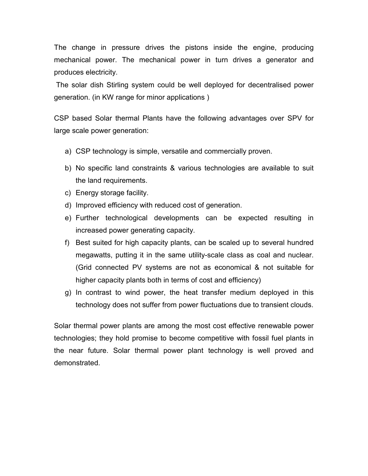The change in pressure drives the pistons inside the engine, producing mechanical power. The mechanical power in turn drives a generator and produces electricity.

 The solar dish Stirling system could be well deployed for decentralised power generation. (in KW range for minor applications )

CSP based Solar thermal Plants have the following advantages over SPV for large scale power generation:

- a) CSP technology is simple, versatile and commercially proven.
- b) No specific land constraints & various technologies are available to suit the land requirements.
- c) Energy storage facility.
- d) Improved efficiency with reduced cost of generation.
- e) Further technological developments can be expected resulting in increased power generating capacity.
- f) Best suited for high capacity plants, can be scaled up to several hundred megawatts, putting it in the same utility-scale class as coal and nuclear. (Grid connected PV systems are not as economical & not suitable for higher capacity plants both in terms of cost and efficiency)
- g) In contrast to wind power, the heat transfer medium deployed in this technology does not suffer from power fluctuations due to transient clouds.

Solar thermal power plants are among the most cost effective renewable power technologies; they hold promise to become competitive with fossil fuel plants in the near future. Solar thermal power plant technology is well proved and demonstrated.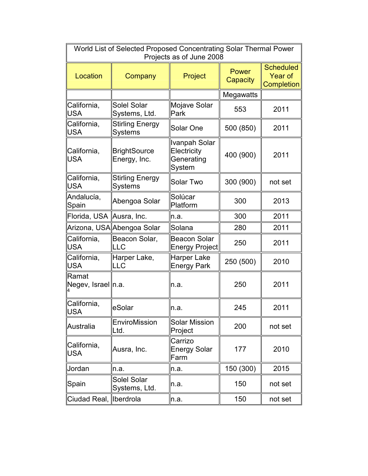| World List of Selected Proposed Concentrating Solar Thermal Power<br>Projects as of June 2008 |                                          |                                                      |                          |                                                  |  |
|-----------------------------------------------------------------------------------------------|------------------------------------------|------------------------------------------------------|--------------------------|--------------------------------------------------|--|
| Location                                                                                      | Company                                  | Project                                              | <b>Power</b><br>Capacity | <b>Scheduled</b><br><b>Year of</b><br>Completion |  |
|                                                                                               |                                          |                                                      | Megawatts                |                                                  |  |
| California,<br><b>USA</b>                                                                     | Solel Solar<br>Systems, Ltd.             | Mojave Solar<br>Park                                 | 553                      | 2011                                             |  |
| California,<br><b>USA</b>                                                                     | <b>Stirling Energy</b><br><b>Systems</b> | Solar One                                            | 500 (850)                | 2011                                             |  |
| California,<br><b>USA</b>                                                                     | <b>BrightSource</b><br>Energy, Inc.      | Ivanpah Solar<br>Electricity<br>Generating<br>System | 400 (900)                | 2011                                             |  |
| California,<br><b>USA</b>                                                                     | <b>Stirling Energy</b><br><b>Systems</b> | <b>Solar Two</b>                                     | 300 (900)                | not set                                          |  |
| Andalucía,<br>Spain                                                                           | Abengoa Solar                            | Solúcar<br>Platform                                  | 300                      | 2013                                             |  |
| Florida, USA Ausra, Inc.                                                                      |                                          | n.a.                                                 | 300                      | 2011                                             |  |
|                                                                                               | Arizona, USA Abengoa Solar               | Solana                                               | 280                      | 2011                                             |  |
| California,<br><b>USA</b>                                                                     | Beacon Solar,<br>LLC                     | <b>Beacon Solar</b><br><b>Energy Project</b>         | 250                      | 2011                                             |  |
| California,<br>USA                                                                            | Harper Lake,<br>LLC                      | Harper Lake<br><b>Energy Park</b>                    | 250 (500)                | 2010                                             |  |
| Ramat<br>Negev, Israel n.a.                                                                   |                                          | n.a.                                                 | 250                      | 2011                                             |  |
| California,<br>USA                                                                            | eSolar                                   | ln.a.                                                | 245                      | 2011                                             |  |
| Australia                                                                                     | EnviroMission<br>Ltd.                    | <b>Solar Mission</b><br>Project                      | 200                      | not set                                          |  |
| California,<br><b>USA</b>                                                                     | Ausra, Inc.                              | Carrizo<br>Energy Solar<br>Farm                      | 177                      | 2010                                             |  |
| Jordan                                                                                        | n.a.                                     | n.a.                                                 | 150 (300)                | 2015                                             |  |
| Spain                                                                                         | Solel Solar<br>Systems, Ltd.             | n.a.                                                 | 150                      | not set                                          |  |
| Ciudad Real,  Iberdrola                                                                       |                                          | n.a.                                                 | 150                      | not set                                          |  |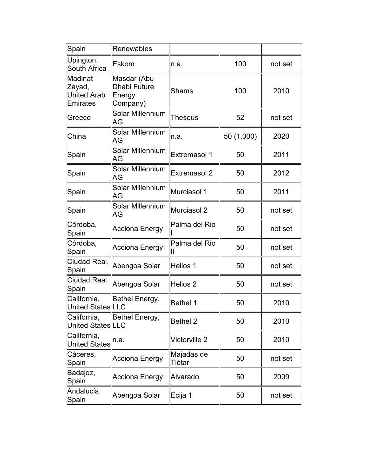| Spain                                        | Renewables                                               |                                |            |         |
|----------------------------------------------|----------------------------------------------------------|--------------------------------|------------|---------|
| Upington,<br>South Africa                    | Eskom                                                    | n.a.                           | 100        | not set |
| Madinat<br>Zayad,<br>United Arab<br>Emirates | Masdar (Abu<br><b>Dhabi Future</b><br>Energy<br>Company) | Shams                          | 100        | 2010    |
| Greece                                       | Solar Millennium<br>AG                                   | Theseus                        | 52         | not set |
| China                                        | Solar Millennium<br>AG                                   | n.a.                           | 50 (1,000) | 2020    |
| Spain                                        | <b>Solar Millennium</b><br>AG                            | <b>Extremasol 1</b>            | 50         | 2011    |
| Spain                                        | Solar Millennium<br>AG                                   | <b>Extremasol 2</b>            | 50         | 2012    |
| Spain                                        | Solar Millennium<br>AG                                   | Murciasol 1                    | 50         | 2011    |
| Spain                                        | Solar Millennium<br>AG                                   | Murciasol 2                    | 50         | not set |
| Córdoba,<br>Spain                            | <b>Acciona Energy</b>                                    | Palma del Rio                  | 50         | not set |
| Córdoba,<br>Spain                            | <b>Acciona Energy</b>                                    | Palma del Rio<br>$\mathsf{II}$ | 50         | not set |
| Ciudad Real,<br>Spain                        | Abengoa Solar                                            | Helios 1                       | 50         | not set |
| Ciudad Real,<br>Spain                        | Abengoa Solar                                            | Helios <sub>2</sub>            | 50         | not set |
| California,<br>United States LLC             | Bethel Energy,                                           | <b>Bethel 1</b>                | 50         | 2010    |
| California,<br>United States LLC             | Bethel Energy,                                           | <b>Bethel 2</b>                | 50         | 2010    |
| California,<br>United States                 | n.a.                                                     | <b>Victorville 2</b>           | 50         | 2010    |
| Cáceres,<br>Spain                            | Acciona Energy                                           | Majadas de<br>Tiétar           | 50         | not set |
| Badajoz,<br>Spain                            | Acciona Energy                                           | Alvarado                       | 50         | 2009    |
| Andalucía,<br>Spain                          | Abengoa Solar                                            | Ecija 1                        | 50         | not set |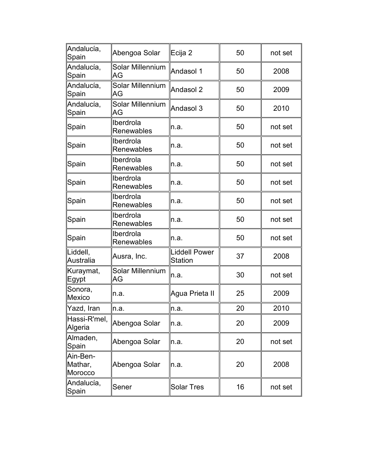| Andalucía,<br>Spain            | Abengoa Solar                  | Ecija 2                  | 50 | not set |
|--------------------------------|--------------------------------|--------------------------|----|---------|
| Andalucía,<br>Spain            | Solar Millennium<br>AG         | Andasol 1                | 50 | 2008    |
| Andalucía,<br>Spain            | <b>Solar Millennium</b><br>AG  | Andasol 2                | 50 | 2009    |
| Andalucía,<br>Spain            | <b>Solar Millennium</b><br>AG  | Andasol 3                | 50 | 2010    |
| Spain                          | Iberdrola<br><b>Renewables</b> | n.a.                     | 50 | not set |
| Spain                          | Iberdrola<br>Renewables        | ln.a.                    | 50 | not set |
| Spain                          | Iberdrola<br><b>Renewables</b> | n.a.                     | 50 | not set |
| Spain                          | Iberdrola<br><b>Renewables</b> | n.a.                     | 50 | not set |
| Spain                          | Iberdrola<br>Renewables        | n.a.                     | 50 | not set |
| Spain                          | Iberdrola<br>Renewables        | n.a.                     | 50 | not set |
| Spain                          | Iberdrola<br>Renewables        | n.a.                     | 50 | not set |
| Liddell,<br>Australia          | Ausra, Inc.                    | Liddell Power<br>Station | 37 | 2008    |
| Kuraymat,<br>Egypt             | Solar Millennium<br>AG         | n.a.                     | 30 | not set |
| Sonora,<br><b>Mexico</b>       | n.a.                           | Agua Prieta II           | 25 | 2009    |
| Yazd, Iran                     | ln.a.                          | n.a.                     | 20 | 2010    |
| Hassi-R'mel,<br>Algeria        | Abengoa Solar                  | In.a.                    | 20 | 2009    |
| Almaden,<br>Spain              | Abengoa Solar                  | $\ln a$ .                | 20 | not set |
| Ain-Ben-<br>Mathar,<br>Morocco | Abengoa Solar                  | n.a.                     | 20 | 2008    |
| Andalucía,<br>Spain            | Sener                          | Solar Tres               | 16 | not set |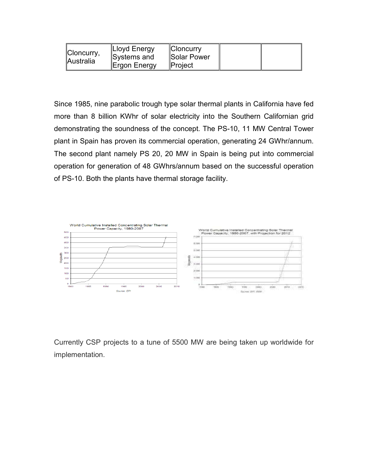| Cloncurry, | Lloyd Energy<br>Systems and | <b>Cloncurry</b><br><b>Solar Power</b> |  |
|------------|-----------------------------|----------------------------------------|--|
| Australia  | ∥Ergon Energy               | <b>IProject</b>                        |  |

Since 1985, nine parabolic trough type solar thermal plants in California have fed more than 8 billion KWhr of solar electricity into the Southern Californian grid demonstrating the soundness of the concept. The PS-10, 11 MW Central Tower plant in Spain has proven its commercial operation, generating 24 GWhr/annum. The second plant namely PS 20, 20 MW in Spain is being put into commercial operation for generation of 48 GWhrs/annum based on the successful operation of PS-10. Both the plants have thermal storage facility.



Currently CSP projects to a tune of 5500 MW are being taken up worldwide for implementation.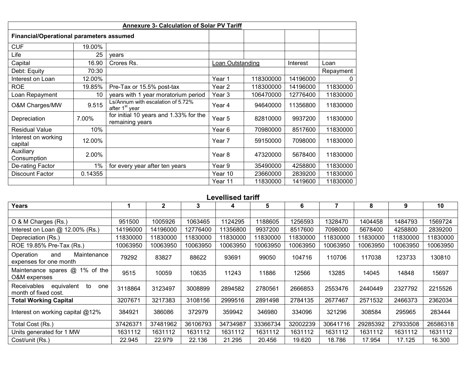| <b>Annexure 3- Calculation of Solar PV Tariff</b> |         |                                                                 |                   |           |          |           |  |  |  |  |
|---------------------------------------------------|---------|-----------------------------------------------------------------|-------------------|-----------|----------|-----------|--|--|--|--|
| <b>Financial/Operational parameters assumed</b>   |         |                                                                 |                   |           |          |           |  |  |  |  |
| <b>CUF</b>                                        | 19.00%  |                                                                 |                   |           |          |           |  |  |  |  |
| Life                                              | 25      | years                                                           |                   |           |          |           |  |  |  |  |
| Capital                                           | 16.90   | Crores Rs.                                                      | Loan Outstanding  |           | Interest | Loan      |  |  |  |  |
| Debt: Equity                                      | 70:30   |                                                                 |                   |           |          | Repayment |  |  |  |  |
| Interest on Loan                                  | 12.00%  |                                                                 | Year 1            | 118300000 | 14196000 | $\Omega$  |  |  |  |  |
| <b>ROE</b>                                        | 19.85%  | Pre-Tax or 15.5% post-tax                                       | Year <sub>2</sub> | 118300000 | 14196000 | 11830000  |  |  |  |  |
| Loan Repayment                                    | 10      | years with 1 year moratorium period                             | Year 3            | 106470000 | 12776400 | 11830000  |  |  |  |  |
| O&M Charges/MW                                    | 9.515   | Ls/Annum with escalation of 5.72%<br>after 1 <sup>st</sup> year | Year 4            | 94640000  | 11356800 | 11830000  |  |  |  |  |
| Depreciation                                      | 7.00%   | for initial 10 years and 1.33% for the<br>remaining years       | Year 5            | 82810000  | 9937200  | 11830000  |  |  |  |  |
| <b>Residual Value</b>                             | 10%     |                                                                 | Year 6            | 70980000  | 8517600  | 11830000  |  |  |  |  |
| Interest on working<br>capital                    | 12.00%  |                                                                 | Year 7            | 59150000  | 7098000  | 11830000  |  |  |  |  |
| Auxiliary<br>Consumption                          | 2.00%   |                                                                 | Year 8            | 47320000  | 5678400  | 11830000  |  |  |  |  |
| De-rating Factor                                  | $1\%$   | for every year after ten years                                  | Year 9            | 35490000  | 4258800  | 11830000  |  |  |  |  |
| <b>Discount Factor</b>                            | 0.14355 |                                                                 | Year 10           | 23660000  | 2839200  | 11830000  |  |  |  |  |
|                                                   |         |                                                                 | Year 11           | 11830000  | 1419600  | 11830000  |  |  |  |  |

# Levellised tariff

| <b>Years</b>                                                   |          | $\mathbf{2}$ | 3        | 4        | 5        | 6        |          | 8        | 9        | 10       |
|----------------------------------------------------------------|----------|--------------|----------|----------|----------|----------|----------|----------|----------|----------|
|                                                                |          |              |          |          |          |          |          |          |          |          |
| O & M Charges (Rs.)                                            | 951500   | 1005926      | 1063465  | 1124295  | 1188605  | 1256593  | 1328470  | 1404458  | 1484793  | 1569724  |
| Interest on Loan @ 12.00% (Rs.)                                | 14196000 | 14196000     | 12776400 | 11356800 | 9937200  | 8517600  | 7098000  | 5678400  | 4258800  | 2839200  |
| Depreciation (Rs.)                                             | 11830000 | 11830000     | 11830000 | 11830000 | 11830000 | 11830000 | 11830000 | 11830000 | 11830000 | 11830000 |
| ROE 19.85% Pre-Tax (Rs.)                                       | 10063950 | 10063950     | 10063950 | 10063950 | 10063950 | 10063950 | 10063950 | 10063950 | 10063950 | 10063950 |
| Maintenance<br>Operation<br>and<br>expenses for one month      | 79292    | 83827        | 88622    | 93691    | 99050    | 104716   | 110706   | 117038   | 123733   | 130810   |
| Maintenance spares @ 1% of the<br>O&M expenses                 | 9515     | 10059        | 10635    | 11243    | 11886    | 12566    | 13285    | 14045    | 14848    | 15697    |
| equivalent<br>Receivables<br>to<br>one<br>month of fixed cost. | 3118864  | 3123497      | 3008899  | 2894582  | 2780561  | 2666853  | 2553476  | 2440449  | 2327792  | 2215526  |
| <b>Total Working Capital</b>                                   | 3207671  | 3217383      | 3108156  | 2999516  | 2891498  | 2784135  | 2677467  | 2571532  | 2466373  | 2362034  |
| Interest on working capital @12%                               | 384921   | 386086       | 372979   | 359942   | 346980   | 334096   | 321296   | 308584   | 295965   | 283444   |
| Total Cost (Rs.)                                               | 37426371 | 37481962     | 36106793 | 34734987 | 33366734 | 32002239 | 30641716 | 29285392 | 27933508 | 26586318 |
| Units generated for 1 MW                                       | 1631112  | 1631112      | 1631112  | 1631112  | 1631112  | 1631112  | 1631112  | 1631112  | 1631112  | 1631112  |
| Cost/unit (Rs.)                                                | 22.945   | 22.979       | 22.136   | 21.295   | 20.456   | 19.620   | 18.786   | 17.954   | 17.125   | 16.300   |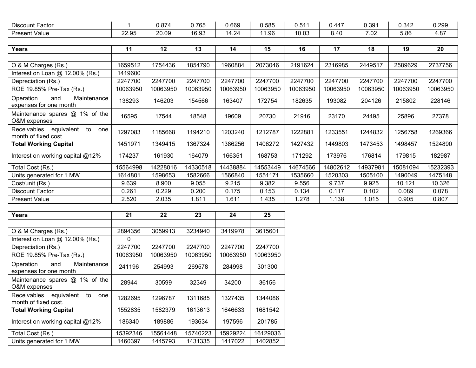| $-$<br>Discount Factor |                | 0.874 | .765<br>◡., | 0.669 | 0.585 | $\bigcap$ $FA$<br>U.51 | $0.44^{-}$                 | ୍ର ୧୦ 1<br>v.vv | 0.342 | 0.299 |
|------------------------|----------------|-------|-------------|-------|-------|------------------------|----------------------------|-----------------|-------|-------|
| <b>Present Value</b>   | 22.Q5<br>22.JJ | 20.09 | 16.93       | $+24$ | 1.96  | 10.03                  | 2 A C<br>v. <del>-</del> v | 7.02            | 5.86  | 4.87  |

| Years                                                          | 11       | 12       | 13       | 14       | 15       | 16       | 17       | 18       | 19       | 20       |
|----------------------------------------------------------------|----------|----------|----------|----------|----------|----------|----------|----------|----------|----------|
|                                                                |          |          |          |          |          |          |          |          |          |          |
| O & M Charges (Rs.)                                            | 1659512  | 1754436  | 1854790  | 1960884  | 2073046  | 2191624  | 2316985  | 2449517  | 2589629  | 2737756  |
| Interest on Loan $@$ 12.00% (Rs.)                              | 1419600  |          |          |          |          |          |          |          |          |          |
| Depreciation (Rs.)                                             | 2247700  | 2247700  | 2247700  | 2247700  | 2247700  | 2247700  | 2247700  | 2247700  | 2247700  | 2247700  |
| ROE 19.85% Pre-Tax (Rs.)                                       | 10063950 | 10063950 | 10063950 | 10063950 | 10063950 | 10063950 | 10063950 | 10063950 | 10063950 | 10063950 |
| Maintenance<br>Operation<br>and<br>expenses for one month      | 138293   | 146203   | 154566   | 163407   | 172754   | 182635   | 193082   | 204126   | 215802   | 228146   |
| Maintenance spares @ 1% of the<br>O&M expenses                 | 16595    | 17544    | 18548    | 19609    | 20730    | 21916    | 23170    | 24495    | 25896    | 27378    |
| Receivables<br>equivalent<br>to<br>one<br>month of fixed cost. | 1297083  | 1185668  | 1194210  | 1203240  | 1212787  | 1222881  | 1233551  | 1244832  | 1256758  | 1269366  |
| <b>Total Working Capital</b>                                   | 1451971  | 1349415  | 1367324  | 1386256  | 1406272  | 1427432  | 1449803  | 1473453  | 1498457  | 1524890  |
| Interest on working capital @12%                               | 174237   | 161930   | 164079   | 166351   | 168753   | 171292   | 173976   | 176814   | 179815   | 182987   |
| Total Cost (Rs.)                                               | 15564998 | 14228016 | 14330518 | 14438884 | 14553449 | 14674566 | 14802612 | 14937981 | 15081094 | 15232393 |
| Units generated for 1 MW                                       | 1614801  | 1598653  | 1582666  | 1566840  | 1551171  | 1535660  | 1520303  | 1505100  | 1490049  | 1475148  |
| Cost/unit (Rs.)                                                | 9.639    | 8.900    | 9.055    | 9.215    | 9.382    | 9.556    | 9.737    | 9.925    | 10.121   | 10.326   |
| Discount Factor                                                | 0.261    | 0.229    | 0.200    | 0.175    | 0.153    | 0.134    | 0.117    | 0.102    | 0.089    | 0.078    |
| <b>Present Value</b>                                           | 2.520    | 2.035    | 1.811    | 1.611    | 1.435    | 1.278    | 1.138    | 1.015    | 0.905    | 0.807    |

| Years                                                          | 21       | 22       | 23       | 24       | 25       |
|----------------------------------------------------------------|----------|----------|----------|----------|----------|
|                                                                |          |          |          |          |          |
| O & M Charges (Rs.)                                            | 2894356  | 3059913  | 3234940  | 3419978  | 3615601  |
| Interest on Loan $@$ 12.00% (Rs.)                              | 0        |          |          |          |          |
| Depreciation (Rs.)                                             | 2247700  | 2247700  | 2247700  | 2247700  | 2247700  |
| ROE 19.85% Pre-Tax (Rs.)                                       | 10063950 | 10063950 | 10063950 | 10063950 | 10063950 |
| Maintenance<br>Operation<br>and<br>expenses for one month      | 241196   | 254993   | 269578   | 284998   | 301300   |
| Maintenance spares @ 1% of the<br>O&M expenses                 | 28944    | 30599    | 32349    | 34200    | 36156    |
| equivalent<br>Receivables<br>to<br>one<br>month of fixed cost. | 1282695  | 1296787  | 1311685  | 1327435  | 1344086  |
| <b>Total Working Capital</b>                                   | 1552835  | 1582379  | 1613613  | 1646633  | 1681542  |
| Interest on working capital @12%                               | 186340   | 189886   | 193634   | 197596   | 201785   |
| Total Cost (Rs.)                                               | 15392346 | 15561448 | 15740223 | 15929224 | 16129036 |
| Units generated for 1 MW                                       | 1460397  | 1445793  | 1431335  | 1417022  | 1402852  |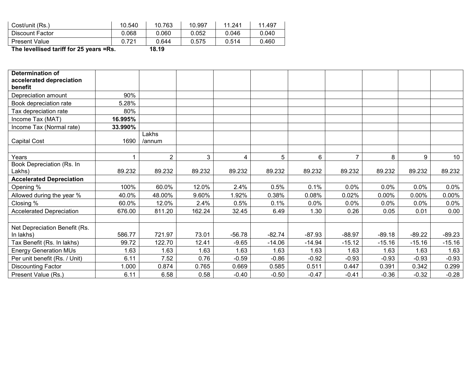| Cost/unit (Rs.)      | 10.540 | 10.763 | 10.997 | 11.241 | 11.497 |
|----------------------|--------|--------|--------|--------|--------|
| Discount Factor      | 0.068  | 0.060  | 0.052  | 0.046  | 0.040  |
| <b>Present Value</b> | 0.721  | 0.644  | 0.575  | 0.514  | 0.460  |

The levellised tariff for 25 years =Rs. 18.19

| <b>Determination of</b><br>accelerated depreciation |         |                |        |          |          |          |                |          |          |                 |
|-----------------------------------------------------|---------|----------------|--------|----------|----------|----------|----------------|----------|----------|-----------------|
| benefit                                             |         |                |        |          |          |          |                |          |          |                 |
| Depreciation amount                                 | 90%     |                |        |          |          |          |                |          |          |                 |
| Book depreciation rate                              | 5.28%   |                |        |          |          |          |                |          |          |                 |
| Tax depreciation rate                               | 80%     |                |        |          |          |          |                |          |          |                 |
| Income Tax (MAT)                                    | 16.995% |                |        |          |          |          |                |          |          |                 |
| Income Tax (Normal rate)                            | 33.990% |                |        |          |          |          |                |          |          |                 |
|                                                     |         | Lakhs          |        |          |          |          |                |          |          |                 |
| <b>Capital Cost</b>                                 | 1690    | /annum         |        |          |          |          |                |          |          |                 |
|                                                     |         | $\overline{2}$ |        |          |          |          | $\overline{7}$ |          |          |                 |
| Years<br>Book Depreciation (Rs. In                  |         |                | 3      | 4        | 5        | 6        |                | 8        | 9        | 10 <sup>°</sup> |
| Lakhs)                                              | 89.232  | 89.232         | 89.232 | 89.232   | 89.232   | 89.232   | 89.232         | 89.232   | 89.232   | 89.232          |
| <b>Accelerated Depreciation</b>                     |         |                |        |          |          |          |                |          |          |                 |
| Opening %                                           | 100%    | 60.0%          | 12.0%  | 2.4%     | 0.5%     | 0.1%     | 0.0%           | 0.0%     | 0.0%     | $0.0\%$         |
| Allowed during the year %                           | 40.0%   | 48.00%         | 9.60%  | 1.92%    | 0.38%    | 0.08%    | 0.02%          | 0.00%    | 0.00%    | $0.00\%$        |
| Closing %                                           | 60.0%   | 12.0%          | 2.4%   | 0.5%     | 0.1%     | 0.0%     | $0.0\%$        | 0.0%     | 0.0%     | $0.0\%$         |
| <b>Accelerated Depreciation</b>                     | 676.00  | 811.20         | 162.24 | 32.45    | 6.49     | 1.30     | 0.26           | 0.05     | 0.01     | 0.00            |
|                                                     |         |                |        |          |          |          |                |          |          |                 |
| Net Depreciation Benefit (Rs.                       |         |                |        |          |          |          |                |          |          |                 |
| In lakhs)                                           | 586.77  | 721.97         | 73.01  | $-56.78$ | $-82.74$ | $-87.93$ | $-88.97$       | $-89.18$ | $-89.22$ | $-89.23$        |
| Tax Benefit (Rs. In lakhs)                          | 99.72   | 122.70         | 12.41  | $-9.65$  | $-14.06$ | $-14.94$ | $-15.12$       | $-15.16$ | $-15.16$ | $-15.16$        |
| <b>Energy Generation MUs</b>                        | 1.63    | 1.63           | 1.63   | 1.63     | 1.63     | 1.63     | 1.63           | 1.63     | 1.63     | 1.63            |
| Per unit benefit (Rs. / Unit)                       | 6.11    | 7.52           | 0.76   | $-0.59$  | $-0.86$  | $-0.92$  | $-0.93$        | $-0.93$  | $-0.93$  | $-0.93$         |
| <b>Discounting Factor</b>                           | 1.000   | 0.874          | 0.765  | 0.669    | 0.585    | 0.511    | 0.447          | 0.391    | 0.342    | 0.299           |
| Present Value (Rs.)                                 | 6.11    | 6.58           | 0.58   | $-0.40$  | $-0.50$  | $-0.47$  | $-0.41$        | $-0.36$  | $-0.32$  | $-0.28$         |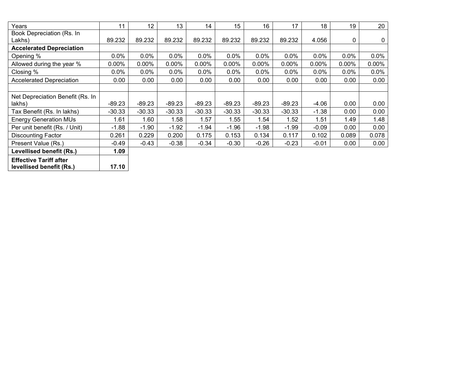| Years                            | 11       | 12       | 13       | 14       | 15       | 16       | 17       | 18       | 19       | 20    |
|----------------------------------|----------|----------|----------|----------|----------|----------|----------|----------|----------|-------|
| Book Depreciation (Rs. In        |          |          |          |          |          |          |          |          |          |       |
| Lakhs)                           | 89.232   | 89.232   | 89.232   | 89.232   | 89.232   | 89.232   | 89.232   | 4.056    | 0        | 0     |
| <b>Accelerated Depreciation</b>  |          |          |          |          |          |          |          |          |          |       |
| Opening %                        | $0.0\%$  | 0.0%     | 0.0%     | 0.0%     | 0.0%     | 0.0%     | 0.0%     | 0.0%     | 0.0%     | 0.0%  |
| Allowed during the year %        | $0.00\%$ | $0.00\%$ | $0.00\%$ | $0.00\%$ | $0.00\%$ | $0.00\%$ | $0.00\%$ | $0.00\%$ | $0.00\%$ | 0.00% |
| Closing %                        | 0.0%     | 0.0%     | 0.0%     | 0.0%     | 0.0%     | 0.0%     | 0.0%     | 0.0%     | $0.0\%$  | 0.0%  |
| <b>Accelerated Depreciation</b>  | 0.00     | 0.00     | 0.00     | 0.00     | 0.00     | 0.00     | 0.00     | 0.00     | 0.00     | 0.00  |
|                                  |          |          |          |          |          |          |          |          |          |       |
| Net Depreciation Benefit (Rs. In |          |          |          |          |          |          |          |          |          |       |
| lakhs)                           | $-89.23$ | $-89.23$ | $-89.23$ | $-89.23$ | $-89.23$ | $-89.23$ | $-89.23$ | $-4.06$  | 0.00     | 0.00  |
| Tax Benefit (Rs. In lakhs)       | $-30.33$ | $-30.33$ | $-30.33$ | $-30.33$ | $-30.33$ | $-30.33$ | $-30.33$ | $-1.38$  | 0.00     | 0.00  |
| <b>Energy Generation MUs</b>     | 1.61     | 1.60     | 1.58     | 1.57     | 1.55     | 1.54     | 1.52     | 1.51     | 1.49     | 1.48  |
| Per unit benefit (Rs. / Unit)    | $-1.88$  | $-1.90$  | $-1.92$  | $-1.94$  | $-1.96$  | $-1.98$  | $-1.99$  | $-0.09$  | 0.00     | 0.00  |
| <b>Discounting Factor</b>        | 0.261    | 0.229    | 0.200    | 0.175    | 0.153    | 0.134    | 0.117    | 0.102    | 0.089    | 0.078 |
| Present Value (Rs.)              | $-0.49$  | $-0.43$  | $-0.38$  | $-0.34$  | $-0.30$  | $-0.26$  | $-0.23$  | $-0.01$  | 0.00     | 0.00  |
| Levellised benefit (Rs.)         | 1.09     |          |          |          |          |          |          |          |          |       |

Effective Tariff after levellised benefit (Rs.) | 17.10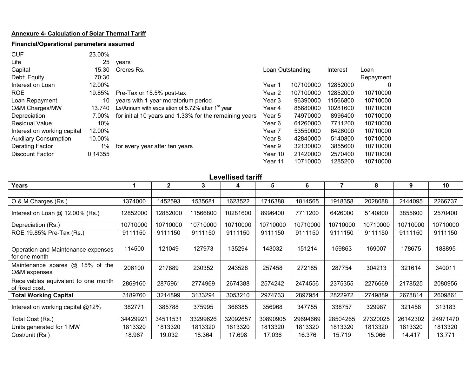# Annexure 4- Calculation of Solar Thermal Tariff

## Financial/Operational parameters assumed

| <b>CUF</b>                   | 23.00%  |                                                              |                  |           |          |           |
|------------------------------|---------|--------------------------------------------------------------|------------------|-----------|----------|-----------|
| Life                         | 25      | vears                                                        |                  |           |          |           |
| Capital                      | 15.30   | Crores Rs.                                                   | Loan Outstanding |           | Interest | Loan      |
| Debt: Equity                 | 70:30   |                                                              |                  |           |          | Repayment |
| Interest on Loan             | 12.00%  |                                                              | Year 1           | 107100000 | 12852000 | $\Omega$  |
| <b>ROE</b>                   | 19.85%  | Pre-Tax or 15.5% post-tax                                    | Year 2           | 107100000 | 12852000 | 10710000  |
| Loan Repayment               | 10      | years with 1 year moratorium period                          | Year 3           | 96390000  | 11566800 | 10710000  |
| O&M Charges/MW               | 13.740  | Ls/Annum with escalation of 5.72% after 1 <sup>st</sup> year | Year 4           | 85680000  | 10281600 | 10710000  |
| Depreciation                 | 7.00%   | for initial 10 years and 1.33% for the remaining years       | Year 5           | 74970000  | 8996400  | 10710000  |
| <b>Residual Value</b>        | 10%     |                                                              | Year 6           | 64260000  | 7711200  | 10710000  |
| Interest on working capital  | 12.00%  |                                                              | Year 7           | 53550000  | 6426000  | 10710000  |
| <b>Auxiliary Consumption</b> | 10.00%  |                                                              | Year 8           | 42840000  | 5140800  | 10710000  |
| Derating Factor              | 1%      | for every year after ten years                               | Year 9           | 32130000  | 3855600  | 10710000  |
| <b>Discount Factor</b>       | 0.14355 |                                                              | Year 10          | 21420000  | 2570400  | 10710000  |
|                              |         |                                                              | Year 11          | 10710000  | 1285200  | 10710000  |

Levellised tariff

| <b>Years</b>                                          |          | $\mathbf{2}$ | 3        | 4        | 5        | 6        |          | 8        | 9        | 10       |
|-------------------------------------------------------|----------|--------------|----------|----------|----------|----------|----------|----------|----------|----------|
|                                                       |          |              |          |          |          |          |          |          |          |          |
| O & M Charges (Rs.)                                   | 1374000  | 1452593      | 1535681  | 1623522  | 1716388  | 1814565  | 1918358  | 2028088  | 2144095  | 2266737  |
| Interest on Loan $@$ 12.00% (Rs.)                     | 12852000 | 12852000     | 11566800 | 10281600 | 8996400  | 7711200  | 6426000  | 5140800  | 3855600  | 2570400  |
| Depreciation (Rs.)                                    | 10710000 | 10710000     | 10710000 | 10710000 | 10710000 | 10710000 | 10710000 | 10710000 | 10710000 | 10710000 |
| ROE 19.85% Pre-Tax (Rs.)                              | 9111150  | 9111150      | 9111150  | 9111150  | 9111150  | 9111150  | 9111150  | 9111150  | 9111150  | 9111150  |
| Operation and Maintenance expenses<br>for one month   | 114500   | 121049       | 127973   | 135294   | 143032   | 151214   | 159863   | 169007   | 178675   | 188895   |
| Maintenance spares @ 15% of the<br>O&M expenses       | 206100   | 217889       | 230352   | 243528   | 257458   | 272185   | 287754   | 304213   | 321614   | 340011   |
| Receivables equivalent to one month<br>of fixed cost. | 2869160  | 2875961      | 2774969  | 2674388  | 2574242  | 2474556  | 2375355  | 2276669  | 2178525  | 2080956  |
| <b>Total Working Capital</b>                          | 3189760  | 3214899      | 3133294  | 3053210  | 2974733  | 2897954  | 2822972  | 2749889  | 2678814  | 2609861  |
| Interest on working capital $@12\%$                   | 382771   | 385788       | 375995   | 366385   | 356968   | 347755   | 338757   | 329987   | 321458   | 313183   |
| Total Cost (Rs.)                                      | 34429921 | 34511531     | 33299626 | 32092657 | 30890905 | 29694669 | 28504265 | 27320025 | 26142302 | 24971470 |
| Units generated for 1 MW                              | 1813320  | 1813320      | 1813320  | 1813320  | 1813320  | 1813320  | 1813320  | 1813320  | 1813320  | 1813320  |
| Cost/unit (Rs.)                                       | 18.987   | 19.032       | 18.364   | 17.698   | 17.036   | 16.376   | 15.719   | 15.066   | 14.417   | 13.771   |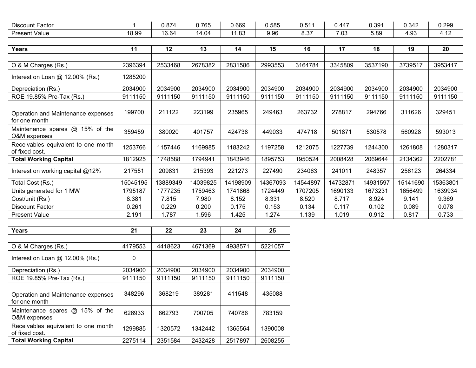| Discount Factor      |       | 0.874 | 0.765 | 0.669 | 0.585       | <b>EA</b><br>. | 0.447 | 0.391 | $\sim$ $\sim$<br>U.342 | 0.299                                               |
|----------------------|-------|-------|-------|-------|-------------|----------------|-------|-------|------------------------|-----------------------------------------------------|
| <b>Present Value</b> | 18.99 | 16.64 | 14.04 | 1.83  | ח ב<br>v.vu | $50-$<br>ບ.ບ.  | 7.03  | 5.89  | $\sim$<br>. .<br>T. J. | $\overline{1}$<br>$\overline{\phantom{a}}$<br>T. IZ |

| <b>Years</b>                                          | 11       | 12       | 13       | 14       | 15       | 16       | 17       | 18       | 19       | 20       |
|-------------------------------------------------------|----------|----------|----------|----------|----------|----------|----------|----------|----------|----------|
|                                                       |          |          |          |          |          |          |          |          |          |          |
| O & M Charges (Rs.)                                   | 2396394  | 2533468  | 2678382  | 2831586  | 2993553  | 3164784  | 3345809  | 3537190  | 3739517  | 3953417  |
| Interest on Loan @ 12.00% (Rs.)                       | 1285200  |          |          |          |          |          |          |          |          |          |
| Depreciation (Rs.)                                    | 2034900  | 2034900  | 2034900  | 2034900  | 2034900  | 2034900  | 2034900  | 2034900  | 2034900  | 2034900  |
| ROE 19.85% Pre-Tax (Rs.)                              | 9111150  | 9111150  | 9111150  | 9111150  | 9111150  | 9111150  | 9111150  | 9111150  | 9111150  | 9111150  |
| Operation and Maintenance expenses<br>for one month   | 199700   | 211122   | 223199   | 235965   | 249463   | 263732   | 278817   | 294766   | 311626   | 329451   |
| Maintenance spares @ 15% of the<br>O&M expenses       | 359459   | 380020   | 401757   | 424738   | 449033   | 474718   | 501871   | 530578   | 560928   | 593013   |
| Receivables equivalent to one month<br>of fixed cost. | 1253766  | 1157446  | 1169985  | 1183242  | 1197258  | 1212075  | 1227739  | 1244300  | 1261808  | 1280317  |
| <b>Total Working Capital</b>                          | 1812925  | 1748588  | 1794941  | 1843946  | 1895753  | 1950524  | 2008428  | 2069644  | 2134362  | 2202781  |
| Interest on working capital @12%                      | 217551   | 209831   | 215393   | 221273   | 227490   | 234063   | 241011   | 248357   | 256123   | 264334   |
| Total Cost (Rs.)                                      | 15045195 | 13889349 | 14039825 | 14198909 | 14367093 | 14544897 | 14732871 | 14931597 | 15141690 | 15363801 |
| Units generated for 1 MW                              | 1795187  | 1777235  | 1759463  | 1741868  | 1724449  | 1707205  | 1690133  | 1673231  | 1656499  | 1639934  |
| Cost/unit (Rs.)                                       | 8.381    | 7.815    | 7.980    | 8.152    | 8.331    | 8.520    | 8.717    | 8.924    | 9.141    | 9.369    |
| Discount Factor                                       | 0.261    | 0.229    | 0.200    | 0.175    | 0.153    | 0.134    | 0.117    | 0.102    | 0.089    | 0.078    |
| <b>Present Value</b>                                  | 2.191    | 1.787    | 1.596    | 1.425    | 1.274    | 1.139    | 1.019    | 0.912    | 0.817    | 0.733    |

| Years                                                 | 21      | 22      | 23      | 24      | 25      |
|-------------------------------------------------------|---------|---------|---------|---------|---------|
|                                                       |         |         |         |         |         |
| O & M Charges (Rs.)                                   | 4179553 | 4418623 | 4671369 | 4938571 | 5221057 |
| Interest on Loan $@$ 12.00% (Rs.)                     | 0       |         |         |         |         |
| Depreciation (Rs.)                                    | 2034900 | 2034900 | 2034900 | 2034900 | 2034900 |
| ROE 19.85% Pre-Tax (Rs.)                              | 9111150 | 9111150 | 9111150 | 9111150 | 9111150 |
| Operation and Maintenance expenses<br>for one month   | 348296  | 368219  | 389281  | 411548  | 435088  |
| 15% of the<br>Maintenance spares @<br>O&M expenses    | 626933  | 662793  | 700705  | 740786  | 783159  |
| Receivables equivalent to one month<br>of fixed cost. | 1299885 | 1320572 | 1342442 | 1365564 | 1390008 |
| <b>Total Working Capital</b>                          | 2275114 | 2351584 | 2432428 | 2517897 | 2608255 |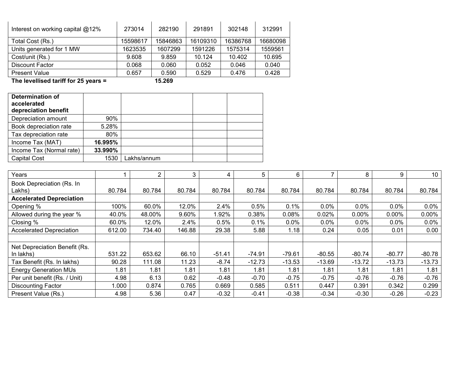| Interest on working capital @12% | 273014   | 282190   | 291891   | 302148   | 312991   |
|----------------------------------|----------|----------|----------|----------|----------|
| Total Cost (Rs.)                 | 15598617 | 15846863 | 16109310 | 16386768 | 16680098 |
| Units generated for 1 MW         | 1623535  | 1607299  | 1591226  | 1575314  | 1559561  |
| Cost/unit (Rs.)                  | 9.608    | 9.859    | 10.124   | 10.402   | 10.695   |
| Discount Factor                  | 0.068    | 0.060    | 0.052    | 0.046    | 0.040    |
| <b>Present Value</b>             | 0.657    | 0.590    | 0.529    | 0.476    | 0.428    |

The levellised tariff for 25 years = 15.269

| <b>Determination of</b><br>accelerated<br>depreciation benefit |         |             |  |
|----------------------------------------------------------------|---------|-------------|--|
| Depreciation amount                                            | 90%     |             |  |
| Book depreciation rate                                         | 5.28%   |             |  |
| Tax depreciation rate                                          | 80%     |             |  |
| Income Tax (MAT)                                               | 16.995% |             |  |
| Income Tax (Normal rate)                                       | 33.990% |             |  |
| <b>Capital Cost</b>                                            | 1530    | Lakhs/annum |  |

| Years                                      |        | 2      | 3      | 4        | 5        | 6        |          | 8        | 9        | 10       |
|--------------------------------------------|--------|--------|--------|----------|----------|----------|----------|----------|----------|----------|
| Book Depreciation (Rs. In<br>Lakhs)        | 80.784 | 80.784 | 80.784 | 80.784   | 80.784   | 80.784   | 80.784   | 80.784   | 80.784   | 80.784   |
| <b>Accelerated Depreciation</b>            |        |        |        |          |          |          |          |          |          |          |
| Opening %                                  | 100%   | 60.0%  | 12.0%  | 2.4%     | 0.5%     | 0.1%     | 0.0%     | 0.0%     | 0.0%     | 0.0%     |
| Allowed during the year %                  | 40.0%  | 48.00% | 9.60%  | .92%     | 0.38%    | 0.08%    | 0.02%    | $0.00\%$ | $0.00\%$ | 0.00%    |
| Closing %                                  | 60.0%  | 12.0%  | 2.4%   | 0.5%     | 0.1%     | $0.0\%$  | 0.0%     | 0.0%     | $0.0\%$  | 0.0%     |
| <b>Accelerated Depreciation</b>            | 612.00 | 734.40 | 146.88 | 29.38    | 5.88     | 1.18     | 0.24     | 0.05     | 0.01     | 0.00     |
|                                            |        |        |        |          |          |          |          |          |          |          |
| Net Depreciation Benefit (Rs.<br>In lakhs) | 531.22 | 653.62 | 66.10  | $-51.41$ | $-74.91$ | $-79.61$ | $-80.55$ | $-80.74$ | $-80.77$ | $-80.78$ |
| Tax Benefit (Rs. In lakhs)                 | 90.28  | 111.08 | 11.23  | $-8.74$  | $-12.73$ | $-13.53$ | $-13.69$ | $-13.72$ | $-13.73$ | $-13.73$ |
| <b>Energy Generation MUs</b>               | 1.81   | 1.81   | 1.81   | 1.81     | 1.81     | 1.81     | 1.81     | 1.81     | 1.81     | 1.81     |
| Per unit benefit (Rs. / Unit)              | 4.98   | 6.13   | 0.62   | $-0.48$  | $-0.70$  | $-0.75$  | $-0.75$  | $-0.76$  | $-0.76$  | $-0.76$  |
| <b>Discounting Factor</b>                  | 0.000  | 0.874  | 0.765  | 0.669    | 0.585    | 0.511    | 0.447    | 0.391    | 0.342    | 0.299    |
| Present Value (Rs.)                        | 4.98   | 5.36   | 0.47   | $-0.32$  | $-0.41$  | $-0.38$  | $-0.34$  | $-0.30$  | $-0.26$  | $-0.23$  |